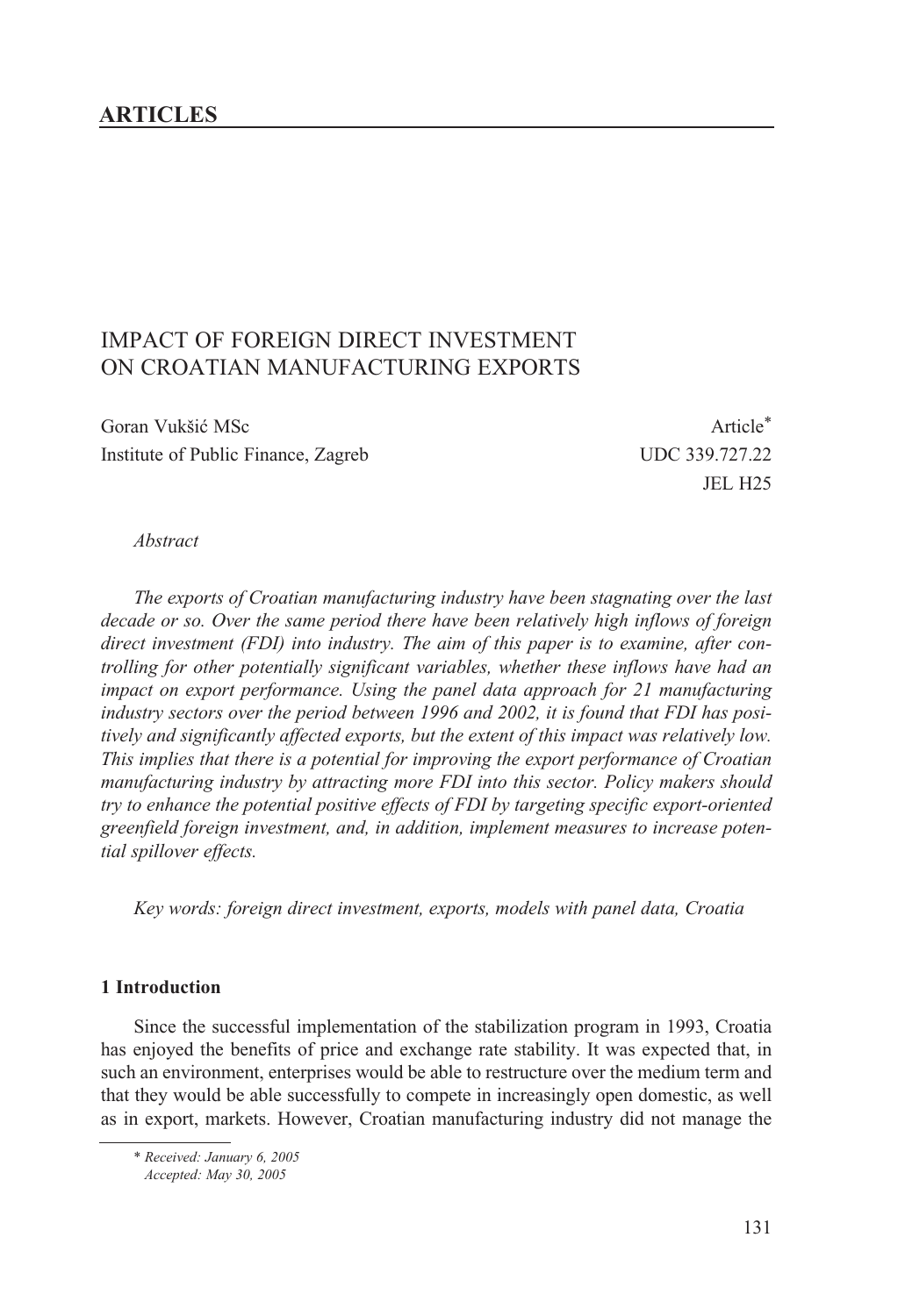## **ARTICLES**

# IMPACT OF FOREIGN DIRECT INVESTMENT ON CROATIAN MANUFACTURING EXPORTS

Goran Vukšić MSc **Article**\* Institute of Public Finance, Zagreb UDC 339.727.22

JEL H25

#### *Abstract*

*The exports of Croatian manufacturing industry have been stagnating over the last decade or so. Over the same period there have been relatively high inflows of foreign direct investment (FDI) into industry. The aim of this paper is to examine, after controlling for other potentially significant variables, whether these inflows have had an impact on export performance. Using the panel data approach for 21 manufacturing industry sectors over the period between 1996 and 2002, it is found that FDI has positively and significantly affected exports, but the extent of this impact was relatively low. This implies that there is a potential for improving the export performance of Croatian manufacturing industry by attracting more FDI into this sector. Policy makers should try to enhance the potential positive effects of FDI by targeting specific export-oriented greenfield foreign investment, and, in addition, implement measures to increase potential spillover effects.* 

*Key words: foreign direct investment, exports, models with panel data, Croatia*

#### **1 Introduction**

Since the successful implementation of the stabilization program in 1993, Croatia has enjoyed the benefits of price and exchange rate stability. It was expected that, in such an environment, enterprises would be able to restructure over the medium term and that they would be able successfully to compete in increasingly open domestic, as well as in export, markets. However, Croatian manufacturing industry did not manage the

\* *Received: January 6, 2005* 

*Accepted: May 30, 2005*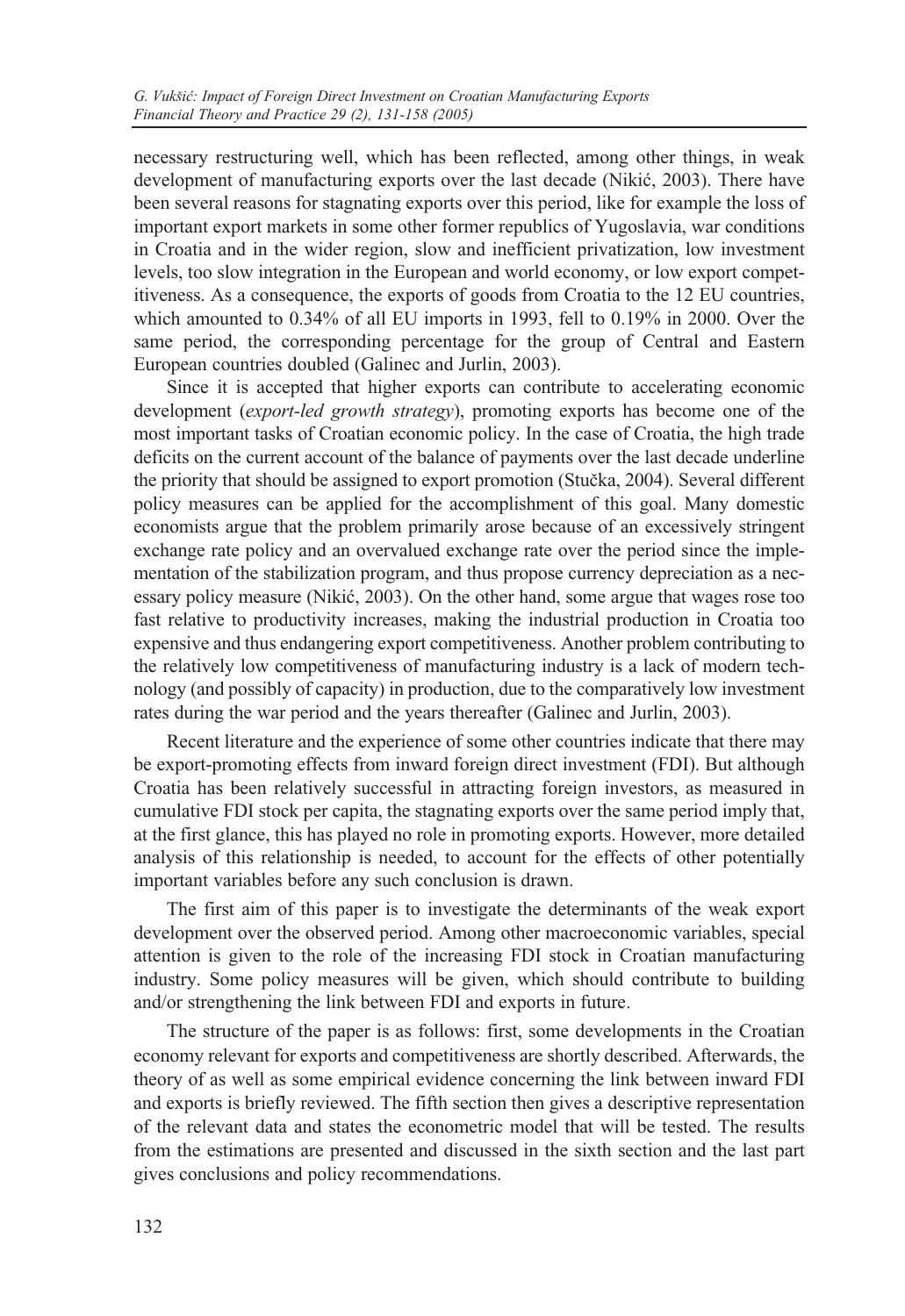necessary restructuring well, which has been reflected, among other things, in weak development of manufacturing exports over the last decade (Nikić, 2003). There have been several reasons for stagnating exports over this period, like for example the loss of important export markets in some other former republics of Yugoslavia, war conditions in Croatia and in the wider region, slow and inefficient privatization, low investment levels, too slow integration in the European and world economy, or low export competitiveness. As a consequence, the exports of goods from Croatia to the 12 EU countries, which amounted to 0.34% of all EU imports in 1993, fell to 0.19% in 2000. Over the same period, the corresponding percentage for the group of Central and Eastern European countries doubled (Galinec and Jurlin, 2003).

Since it is accepted that higher exports can contribute to accelerating economic development (*export-led growth strategy*), promoting exports has become one of the most important tasks of Croatian economic policy. In the case of Croatia, the high trade deficits on the current account of the balance of payments over the last decade underline the priority that should be assigned to export promotion (Stuèka, 2004). Several different policy measures can be applied for the accomplishment of this goal. Many domestic economists argue that the problem primarily arose because of an excessively stringent exchange rate policy and an overvalued exchange rate over the period since the implementation of the stabilization program, and thus propose currency depreciation as a necessary policy measure (Nikić, 2003). On the other hand, some argue that wages rose too fast relative to productivity increases, making the industrial production in Croatia too expensive and thus endangering export competitiveness. Another problem contributing to the relatively low competitiveness of manufacturing industry is a lack of modern technology (and possibly of capacity) in production, due to the comparatively low investment rates during the war period and the years thereafter (Galinec and Jurlin, 2003).

Recent literature and the experience of some other countries indicate that there may be export-promoting effects from inward foreign direct investment (FDI). But although Croatia has been relatively successful in attracting foreign investors, as measured in cumulative FDI stock per capita, the stagnating exports over the same period imply that, at the first glance, this has played no role in promoting exports. However, more detailed analysis of this relationship is needed, to account for the effects of other potentially important variables before any such conclusion is drawn.

The first aim of this paper is to investigate the determinants of the weak export development over the observed period. Among other macroeconomic variables, special attention is given to the role of the increasing FDI stock in Croatian manufacturing industry. Some policy measures will be given, which should contribute to building and/or strengthening the link between FDI and exports in future.

The structure of the paper is as follows: first, some developments in the Croatian economy relevant for exports and competitiveness are shortly described. Afterwards, the theory of as well as some empirical evidence concerning the link between inward FDI and exports is briefly reviewed. The fifth section then gives a descriptive representation of the relevant data and states the econometric model that will be tested. The results from the estimations are presented and discussed in the sixth section and the last part gives conclusions and policy recommendations.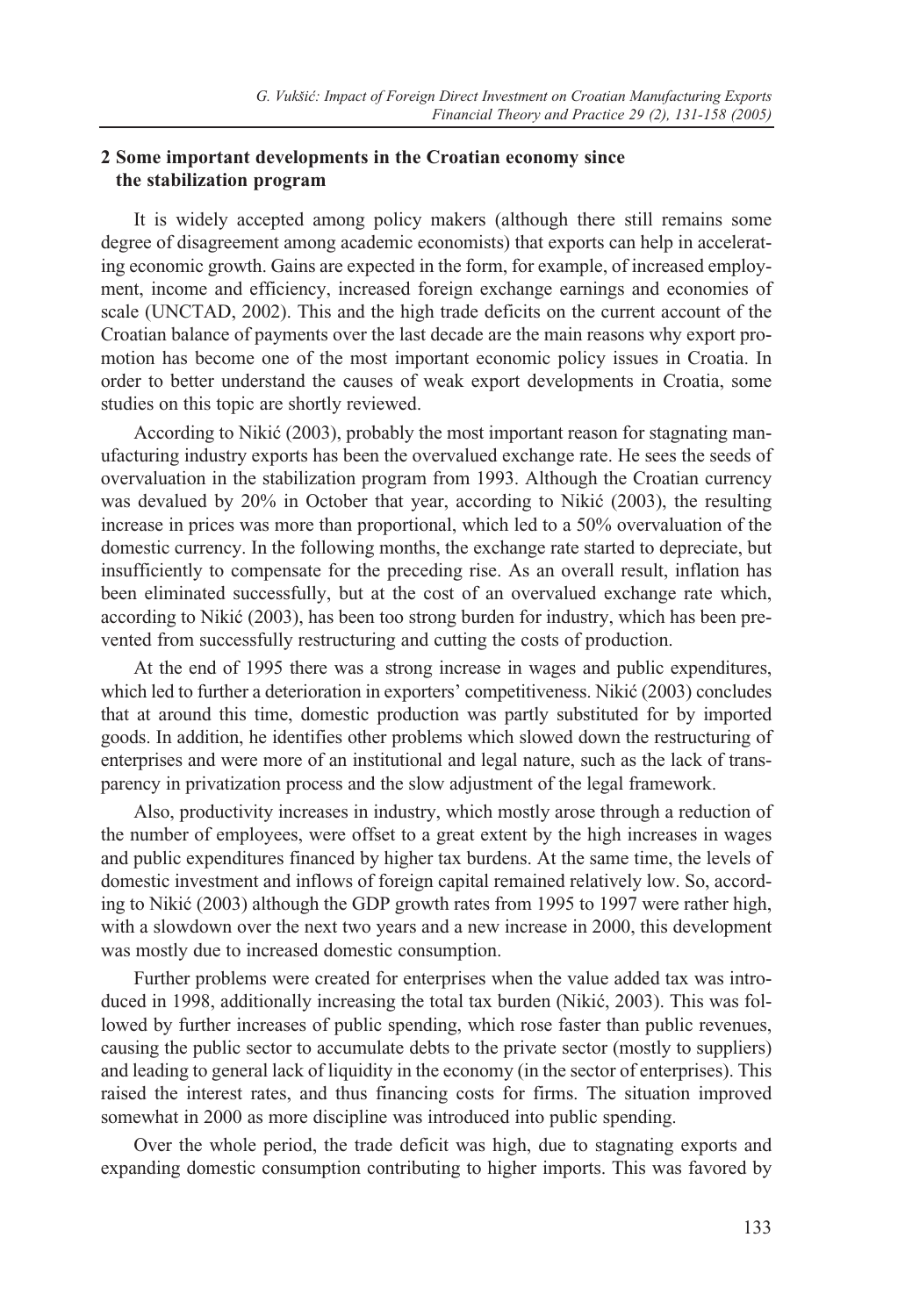### **2 Some important developments in the Croatian economy since the stabilization program**

It is widely accepted among policy makers (although there still remains some degree of disagreement among academic economists) that exports can help in accelerating economic growth. Gains are expected in the form, for example, of increased employment, income and efficiency, increased foreign exchange earnings and economies of scale (UNCTAD, 2002). This and the high trade deficits on the current account of the Croatian balance of payments over the last decade are the main reasons why export promotion has become one of the most important economic policy issues in Croatia. In order to better understand the causes of weak export developments in Croatia, some studies on this topic are shortly reviewed.

According to Nikić (2003), probably the most important reason for stagnating manufacturing industry exports has been the overvalued exchange rate. He sees the seeds of overvaluation in the stabilization program from 1993. Although the Croatian currency was devalued by 20% in October that year, according to Nikić (2003), the resulting increase in prices was more than proportional, which led to a 50% overvaluation of the domestic currency. In the following months, the exchange rate started to depreciate, but insufficiently to compensate for the preceding rise. As an overall result, inflation has been eliminated successfully, but at the cost of an overvalued exchange rate which, according to Nikić (2003), has been too strong burden for industry, which has been prevented from successfully restructuring and cutting the costs of production.

At the end of 1995 there was a strong increase in wages and public expenditures, which led to further a deterioration in exporters' competitiveness. Nikić (2003) concludes that at around this time, domestic production was partly substituted for by imported goods. In addition, he identifies other problems which slowed down the restructuring of enterprises and were more of an institutional and legal nature, such as the lack of transparency in privatization process and the slow adjustment of the legal framework.

Also, productivity increases in industry, which mostly arose through a reduction of the number of employees, were offset to a great extent by the high increases in wages and public expenditures financed by higher tax burdens. At the same time, the levels of domestic investment and inflows of foreign capital remained relatively low. So, according to Nikić (2003) although the GDP growth rates from 1995 to 1997 were rather high, with a slowdown over the next two years and a new increase in 2000, this development was mostly due to increased domestic consumption.

Further problems were created for enterprises when the value added tax was introduced in 1998, additionally increasing the total tax burden (Nikić, 2003). This was followed by further increases of public spending, which rose faster than public revenues, causing the public sector to accumulate debts to the private sector (mostly to suppliers) and leading to general lack of liquidity in the economy (in the sector of enterprises). This raised the interest rates, and thus financing costs for firms. The situation improved somewhat in 2000 as more discipline was introduced into public spending.

Over the whole period, the trade deficit was high, due to stagnating exports and expanding domestic consumption contributing to higher imports. This was favored by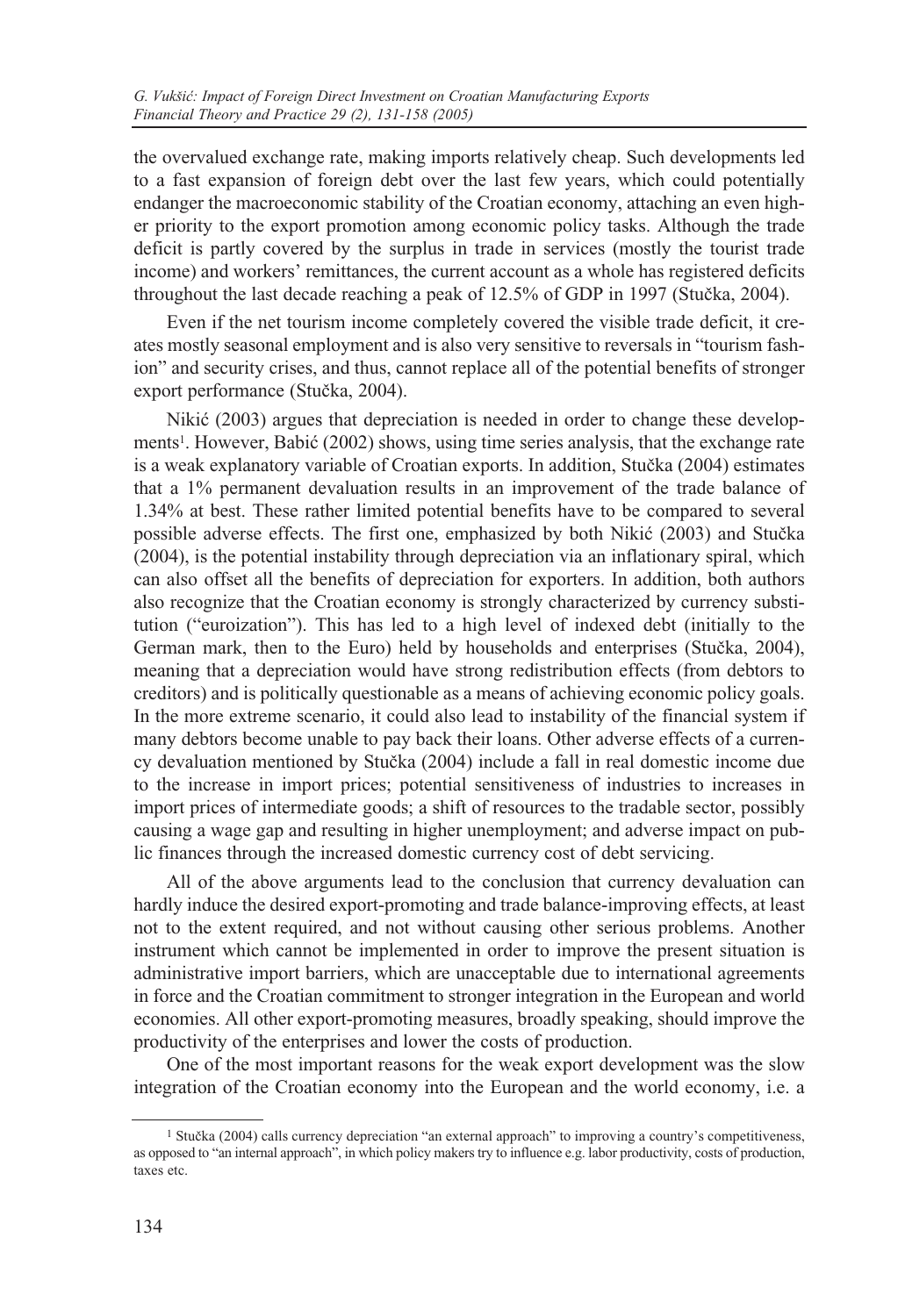the overvalued exchange rate, making imports relatively cheap. Such developments led to a fast expansion of foreign debt over the last few years, which could potentially endanger the macroeconomic stability of the Croatian economy, attaching an even higher priority to the export promotion among economic policy tasks. Although the trade deficit is partly covered by the surplus in trade in services (mostly the tourist trade income) and workers' remittances, the current account as a whole has registered deficits throughout the last decade reaching a peak of 12.5% of GDP in 1997 (Stuèka, 2004).

Even if the net tourism income completely covered the visible trade deficit, it creates mostly seasonal employment and is also very sensitive to reversals in "tourism fashion" and security crises, and thus, cannot replace all of the potential benefits of stronger export performance (Stuèka, 2004).

Nikić (2003) argues that depreciation is needed in order to change these developments<sup>1</sup>. However, Babić (2002) shows, using time series analysis, that the exchange rate is a weak explanatory variable of Croatian exports. In addition, Stuèka (2004) estimates that a 1% permanent devaluation results in an improvement of the trade balance of 1.34% at best. These rather limited potential benefits have to be compared to several possible adverse effects. The first one, emphasized by both Nikić (2003) and Stučka (2004), is the potential instability through depreciation via an inflationary spiral, which can also offset all the benefits of depreciation for exporters. In addition, both authors also recognize that the Croatian economy is strongly characterized by currency substitution ("euroization"). This has led to a high level of indexed debt (initially to the German mark, then to the Euro) held by households and enterprises (Stuèka, 2004), meaning that a depreciation would have strong redistribution effects (from debtors to creditors) and is politically questionable as a means of achieving economic policy goals. In the more extreme scenario, it could also lead to instability of the financial system if many debtors become unable to pay back their loans. Other adverse effects of a currency devaluation mentioned by Stuèka (2004) include a fall in real domestic income due to the increase in import prices; potential sensitiveness of industries to increases in import prices of intermediate goods; a shift of resources to the tradable sector, possibly causing a wage gap and resulting in higher unemployment; and adverse impact on public finances through the increased domestic currency cost of debt servicing.

All of the above arguments lead to the conclusion that currency devaluation can hardly induce the desired export-promoting and trade balance-improving effects, at least not to the extent required, and not without causing other serious problems. Another instrument which cannot be implemented in order to improve the present situation is administrative import barriers, which are unacceptable due to international agreements in force and the Croatian commitment to stronger integration in the European and world economies. All other export-promoting measures, broadly speaking, should improve the productivity of the enterprises and lower the costs of production.

One of the most important reasons for the weak export development was the slow integration of the Croatian economy into the European and the world economy, i.e. a

<sup>1</sup> Stuèka (2004) calls currency depreciation "an external approach" to improving a country's competitiveness, as opposed to "an internal approach", in which policy makers try to influence e.g. labor productivity, costs of production, taxes etc.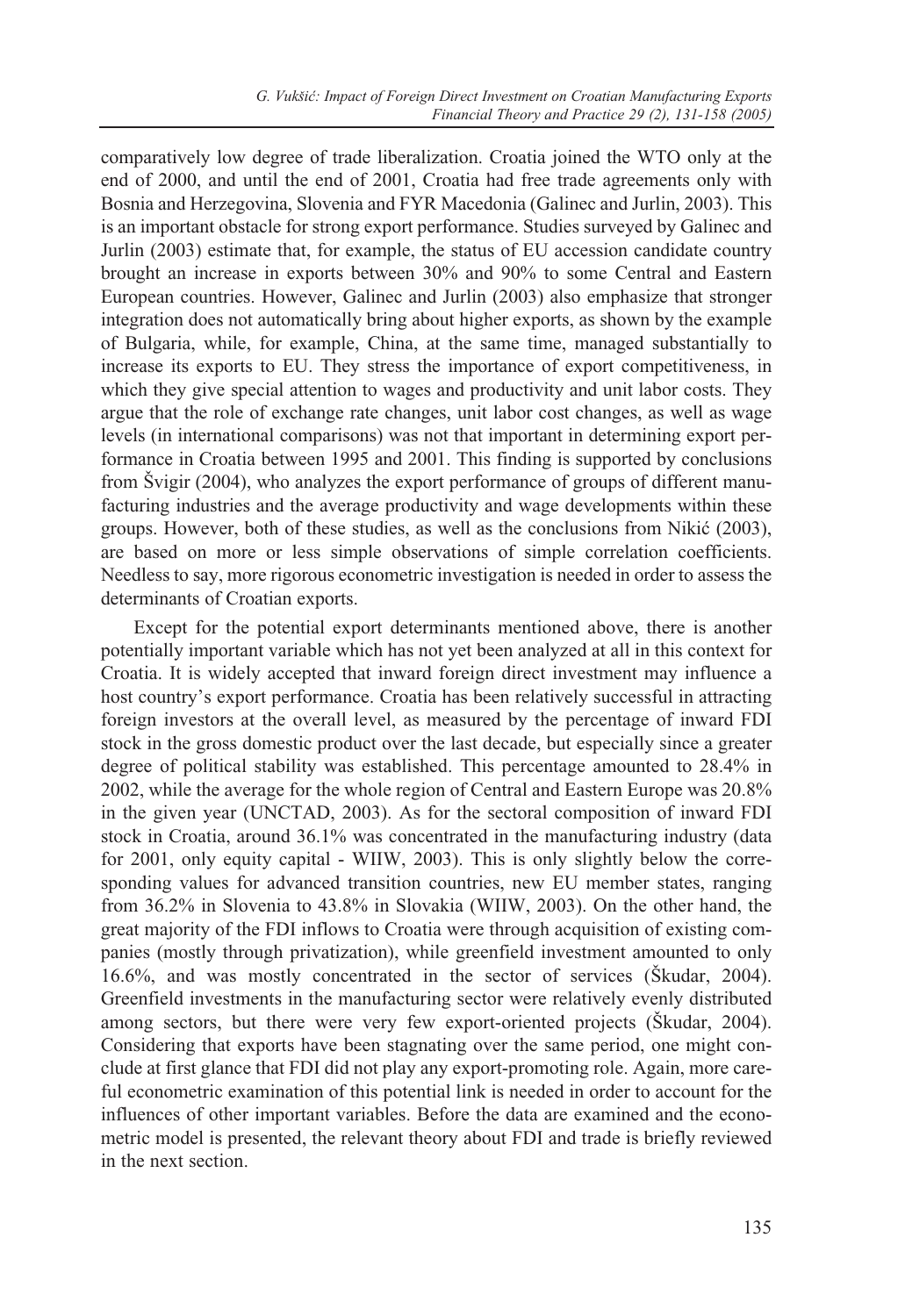comparatively low degree of trade liberalization. Croatia joined the WTO only at the end of 2000, and until the end of 2001, Croatia had free trade agreements only with Bosnia and Herzegovina, Slovenia and FYR Macedonia (Galinec and Jurlin, 2003). This is an important obstacle for strong export performance. Studies surveyed by Galinec and Jurlin (2003) estimate that, for example, the status of EU accession candidate country brought an increase in exports between 30% and 90% to some Central and Eastern European countries. However, Galinec and Jurlin (2003) also emphasize that stronger integration does not automatically bring about higher exports, as shown by the example of Bulgaria, while, for example, China, at the same time, managed substantially to increase its exports to EU. They stress the importance of export competitiveness, in which they give special attention to wages and productivity and unit labor costs. They argue that the role of exchange rate changes, unit labor cost changes, as well as wage levels (in international comparisons) was not that important in determining export performance in Croatia between 1995 and 2001. This finding is supported by conclusions from Švigir (2004), who analyzes the export performance of groups of different manufacturing industries and the average productivity and wage developments within these groups. However, both of these studies, as well as the conclusions from Nikić (2003), are based on more or less simple observations of simple correlation coefficients. Needless to say, more rigorous econometric investigation is needed in order to assess the determinants of Croatian exports.

Except for the potential export determinants mentioned above, there is another potentially important variable which has not yet been analyzed at all in this context for Croatia. It is widely accepted that inward foreign direct investment may influence a host country's export performance. Croatia has been relatively successful in attracting foreign investors at the overall level, as measured by the percentage of inward FDI stock in the gross domestic product over the last decade, but especially since a greater degree of political stability was established. This percentage amounted to 28.4% in 2002, while the average for the whole region of Central and Eastern Europe was 20.8% in the given year (UNCTAD, 2003). As for the sectoral composition of inward FDI stock in Croatia, around 36.1% was concentrated in the manufacturing industry (data for 2001, only equity capital - WIIW, 2003). This is only slightly below the corresponding values for advanced transition countries, new EU member states, ranging from 36.2% in Slovenia to 43.8% in Slovakia (WIIW, 2003). On the other hand, the great majority of the FDI inflows to Croatia were through acquisition of existing companies (mostly through privatization), while greenfield investment amounted to only 16.6%, and was mostly concentrated in the sector of services (Škudar, 2004). Greenfield investments in the manufacturing sector were relatively evenly distributed among sectors, but there were very few export-oriented projects (Škudar, 2004). Considering that exports have been stagnating over the same period, one might conclude at first glance that FDI did not play any export-promoting role. Again, more careful econometric examination of this potential link is needed in order to account for the influences of other important variables. Before the data are examined and the econometric model is presented, the relevant theory about FDI and trade is briefly reviewed in the next section.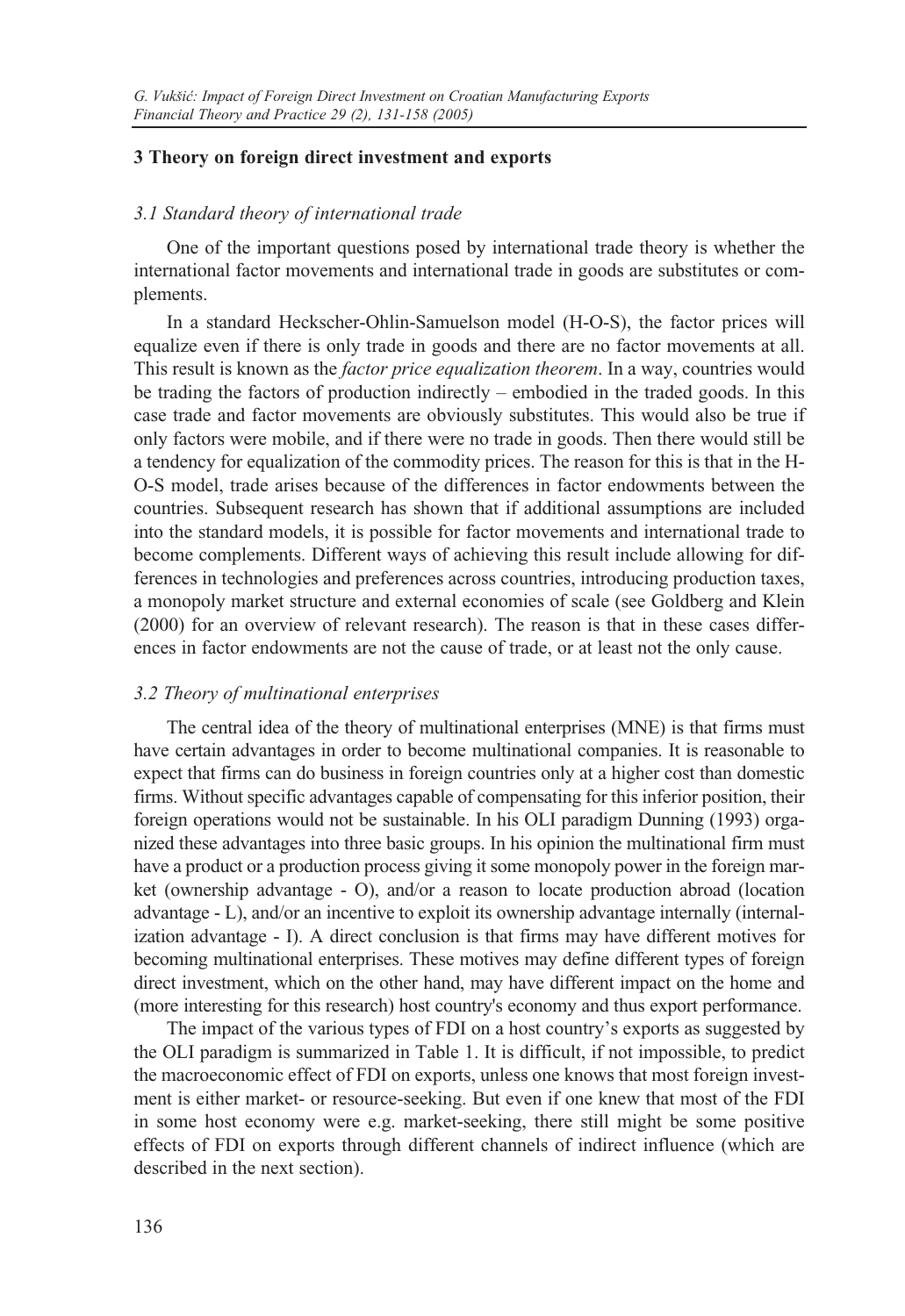#### **3 Theory on foreign direct investment and exports**

#### *3.1 Standard theory of international trade*

One of the important questions posed by international trade theory is whether the international factor movements and international trade in goods are substitutes or complements.

In a standard Heckscher-Ohlin-Samuelson model (H-O-S), the factor prices will equalize even if there is only trade in goods and there are no factor movements at all. This result is known as the *factor price equalization theorem*. In a way, countries would be trading the factors of production indirectly – embodied in the traded goods. In this case trade and factor movements are obviously substitutes. This would also be true if only factors were mobile, and if there were no trade in goods. Then there would still be a tendency for equalization of the commodity prices. The reason for this is that in the H-O-S model, trade arises because of the differences in factor endowments between the countries. Subsequent research has shown that if additional assumptions are included into the standard models, it is possible for factor movements and international trade to become complements. Different ways of achieving this result include allowing for differences in technologies and preferences across countries, introducing production taxes, a monopoly market structure and external economies of scale (see Goldberg and Klein (2000) for an overview of relevant research). The reason is that in these cases differences in factor endowments are not the cause of trade, or at least not the only cause.

#### *3.2 Theory of multinational enterprises*

The central idea of the theory of multinational enterprises (MNE) is that firms must have certain advantages in order to become multinational companies. It is reasonable to expect that firms can do business in foreign countries only at a higher cost than domestic firms. Without specific advantages capable of compensating for this inferior position, their foreign operations would not be sustainable. In his OLI paradigm Dunning (1993) organized these advantages into three basic groups. In his opinion the multinational firm must have a product or a production process giving it some monopoly power in the foreign market (ownership advantage - O), and/or a reason to locate production abroad (location advantage - L), and/or an incentive to exploit its ownership advantage internally (internalization advantage - I). A direct conclusion is that firms may have different motives for becoming multinational enterprises. These motives may define different types of foreign direct investment, which on the other hand, may have different impact on the home and (more interesting for this research) host country's economy and thus export performance.

The impact of the various types of FDI on a host country's exports as suggested by the OLI paradigm is summarized in Table 1. It is difficult, if not impossible, to predict the macroeconomic effect of FDI on exports, unless one knows that most foreign investment is either market- or resource-seeking. But even if one knew that most of the FDI in some host economy were e.g. market-seeking, there still might be some positive effects of FDI on exports through different channels of indirect influence (which are described in the next section).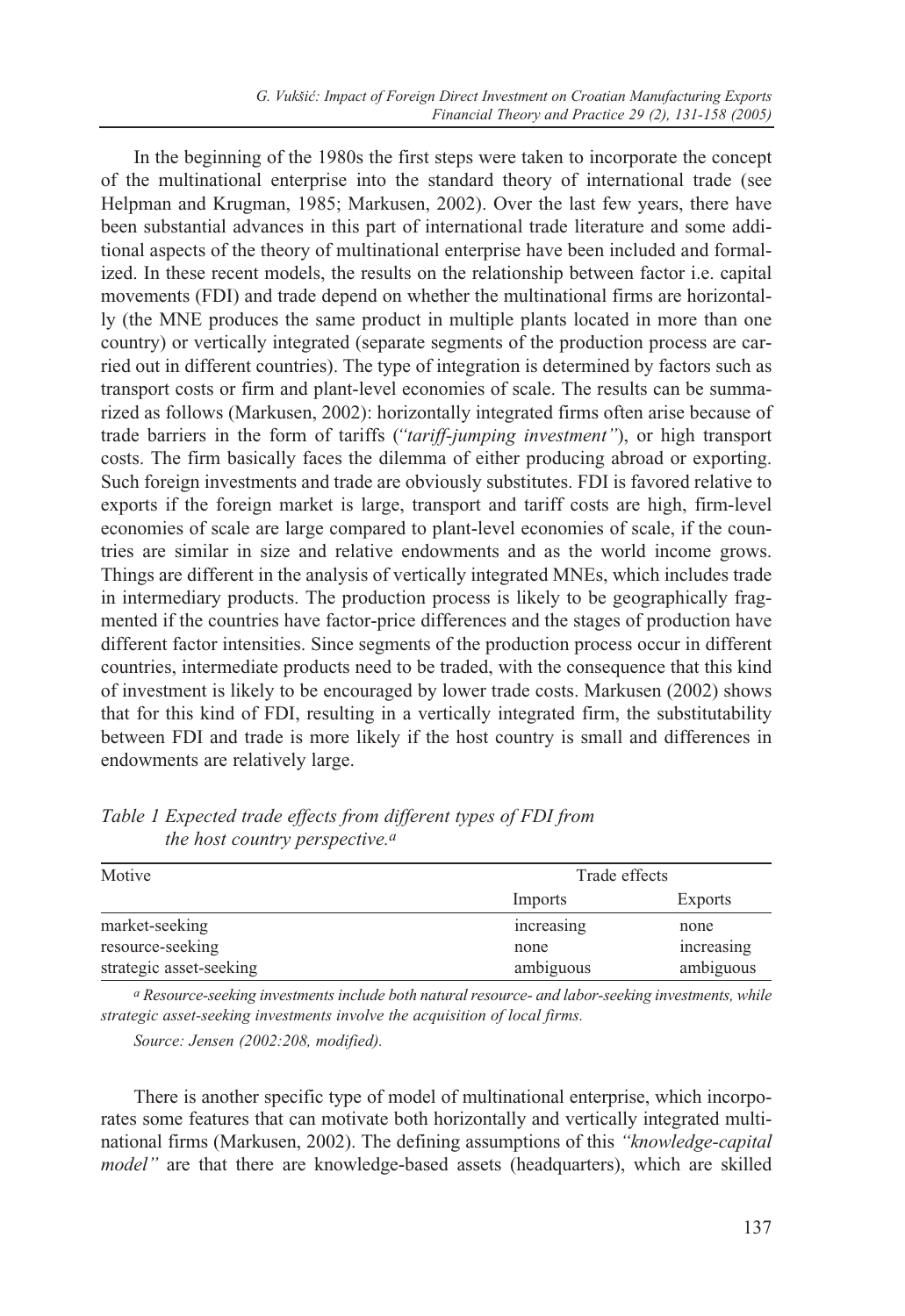In the beginning of the 1980s the first steps were taken to incorporate the concept of the multinational enterprise into the standard theory of international trade (see Helpman and Krugman, 1985; Markusen, 2002). Over the last few years, there have been substantial advances in this part of international trade literature and some additional aspects of the theory of multinational enterprise have been included and formalized. In these recent models, the results on the relationship between factor i.e. capital movements (FDI) and trade depend on whether the multinational firms are horizontally (the MNE produces the same product in multiple plants located in more than one country) or vertically integrated (separate segments of the production process are carried out in different countries). The type of integration is determined by factors such as transport costs or firm and plant-level economies of scale. The results can be summarized as follows (Markusen, 2002): horizontally integrated firms often arise because of trade barriers in the form of tariffs (*"tariff-jumping investment"*), or high transport costs. The firm basically faces the dilemma of either producing abroad or exporting. Such foreign investments and trade are obviously substitutes. FDI is favored relative to exports if the foreign market is large, transport and tariff costs are high, firm-level economies of scale are large compared to plant-level economies of scale, if the countries are similar in size and relative endowments and as the world income grows. Things are different in the analysis of vertically integrated MNEs, which includes trade in intermediary products. The production process is likely to be geographically fragmented if the countries have factor-price differences and the stages of production have different factor intensities. Since segments of the production process occur in different countries, intermediate products need to be traded, with the consequence that this kind of investment is likely to be encouraged by lower trade costs. Markusen (2002) shows that for this kind of FDI, resulting in a vertically integrated firm, the substitutability between FDI and trade is more likely if the host country is small and differences in endowments are relatively large.

| Motive                  | Trade effects |            |
|-------------------------|---------------|------------|
|                         | Imports       | Exports    |
| market-seeking          | increasing    | none       |
| resource-seeking        | none          | increasing |
| strategic asset-seeking | ambiguous     | ambiguous  |

*Table 1 Expected trade effects from different types of FDI from the host country perspective.a*

*a Resource-seeking investments include both natural resource- and labor-seeking investments, while strategic asset-seeking investments involve the acquisition of local firms.*

*Source: Jensen (2002:208, modified).*

There is another specific type of model of multinational enterprise, which incorporates some features that can motivate both horizontally and vertically integrated multinational firms (Markusen, 2002). The defining assumptions of this *"knowledge-capital model"* are that there are knowledge-based assets (headquarters), which are skilled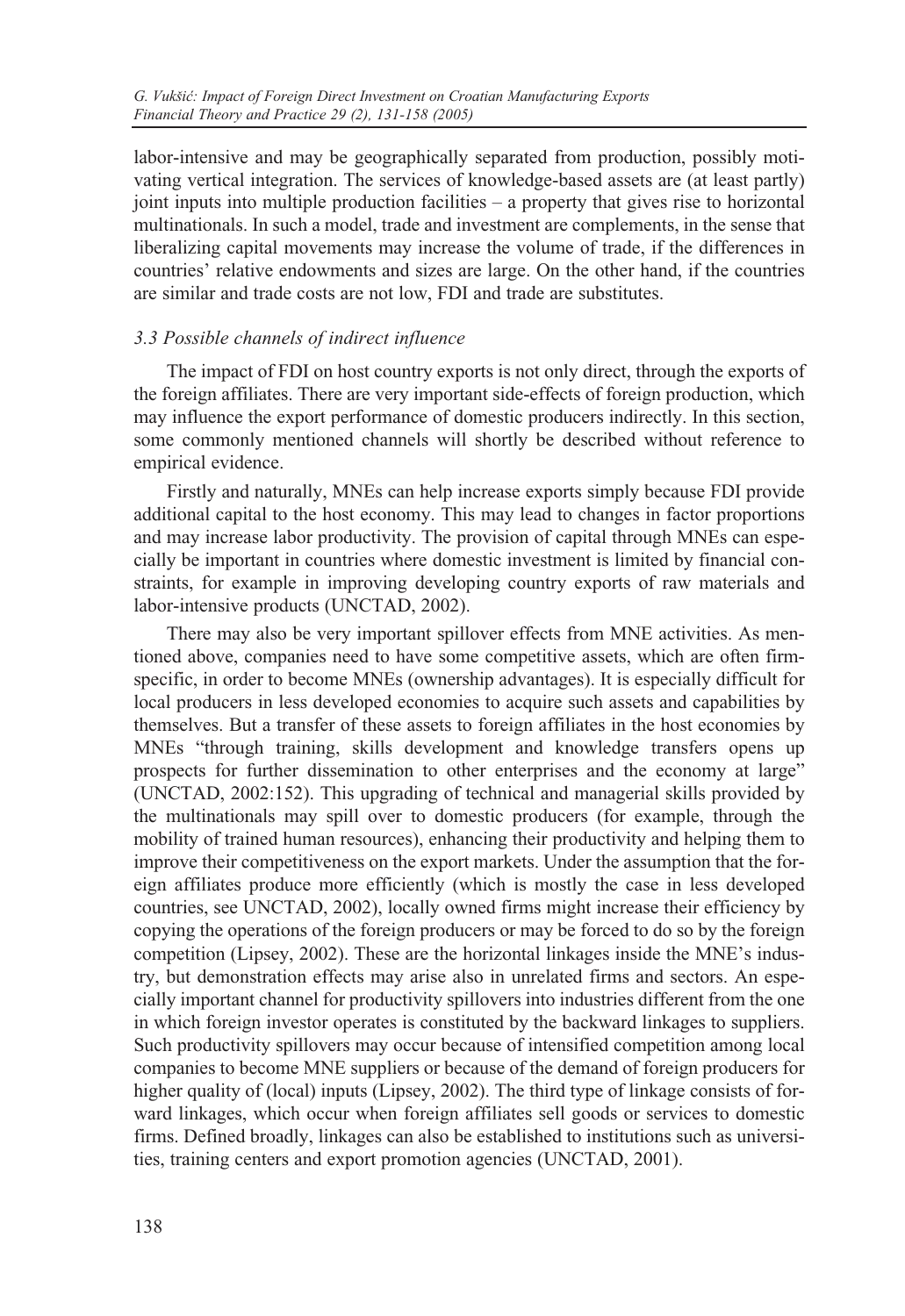labor-intensive and may be geographically separated from production, possibly motivating vertical integration. The services of knowledge-based assets are (at least partly) joint inputs into multiple production facilities – a property that gives rise to horizontal multinationals. In such a model, trade and investment are complements, in the sense that liberalizing capital movements may increase the volume of trade, if the differences in countries' relative endowments and sizes are large. On the other hand, if the countries are similar and trade costs are not low, FDI and trade are substitutes.

### *3.3 Possible channels of indirect influence*

The impact of FDI on host country exports is not only direct, through the exports of the foreign affiliates. There are very important side-effects of foreign production, which may influence the export performance of domestic producers indirectly. In this section, some commonly mentioned channels will shortly be described without reference to empirical evidence.

Firstly and naturally, MNEs can help increase exports simply because FDI provide additional capital to the host economy. This may lead to changes in factor proportions and may increase labor productivity. The provision of capital through MNEs can especially be important in countries where domestic investment is limited by financial constraints, for example in improving developing country exports of raw materials and labor-intensive products (UNCTAD, 2002).

There may also be very important spillover effects from MNE activities. As mentioned above, companies need to have some competitive assets, which are often firmspecific, in order to become MNEs (ownership advantages). It is especially difficult for local producers in less developed economies to acquire such assets and capabilities by themselves. But a transfer of these assets to foreign affiliates in the host economies by MNEs "through training, skills development and knowledge transfers opens up prospects for further dissemination to other enterprises and the economy at large" (UNCTAD, 2002:152). This upgrading of technical and managerial skills provided by the multinationals may spill over to domestic producers (for example, through the mobility of trained human resources), enhancing their productivity and helping them to improve their competitiveness on the export markets. Under the assumption that the foreign affiliates produce more efficiently (which is mostly the case in less developed countries, see UNCTAD, 2002), locally owned firms might increase their efficiency by copying the operations of the foreign producers or may be forced to do so by the foreign competition (Lipsey, 2002). These are the horizontal linkages inside the MNE's industry, but demonstration effects may arise also in unrelated firms and sectors. An especially important channel for productivity spillovers into industries different from the one in which foreign investor operates is constituted by the backward linkages to suppliers. Such productivity spillovers may occur because of intensified competition among local companies to become MNE suppliers or because of the demand of foreign producers for higher quality of (local) inputs (Lipsey, 2002). The third type of linkage consists of forward linkages, which occur when foreign affiliates sell goods or services to domestic firms. Defined broadly, linkages can also be established to institutions such as universities, training centers and export promotion agencies (UNCTAD, 2001).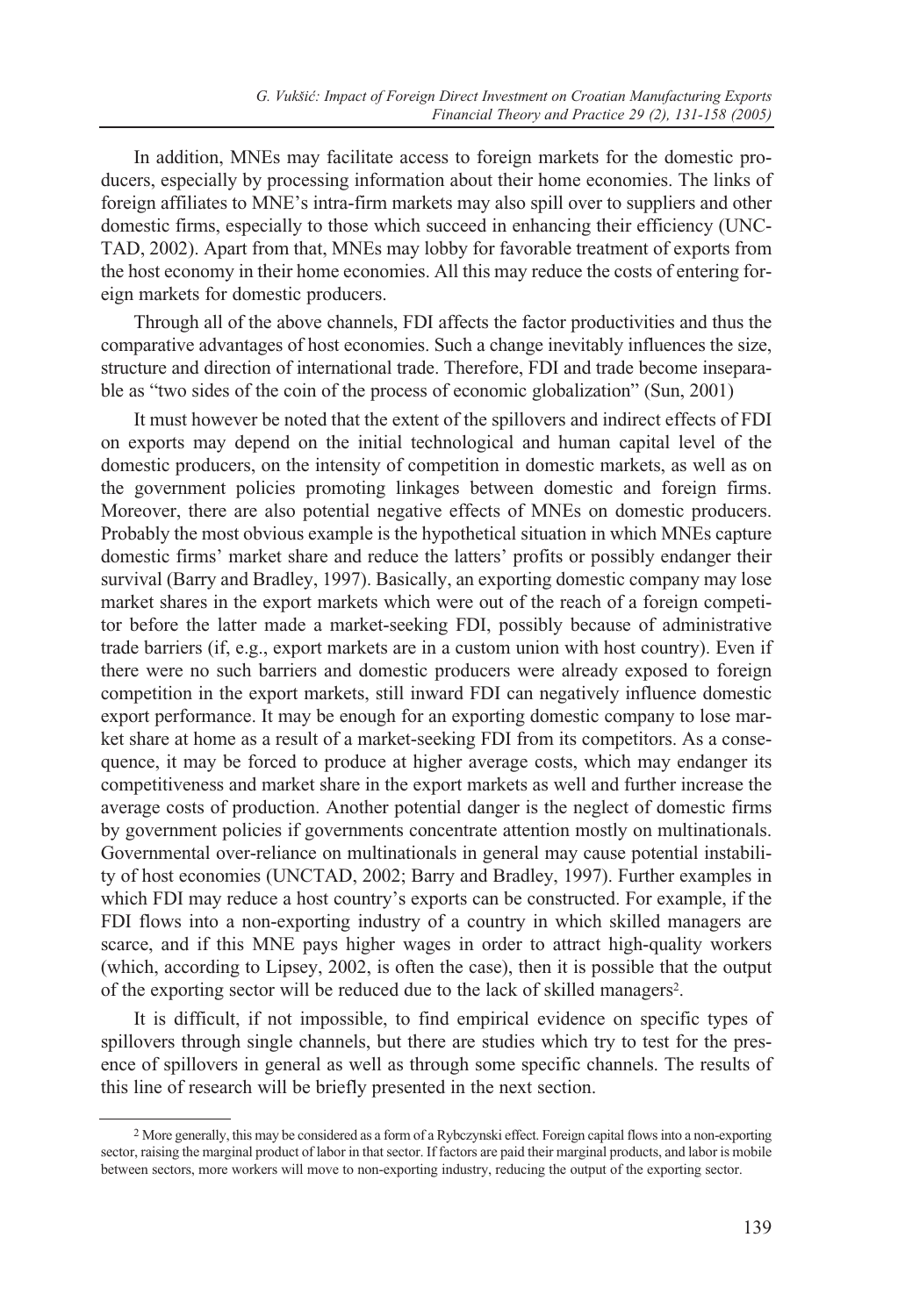In addition, MNEs may facilitate access to foreign markets for the domestic producers, especially by processing information about their home economies. The links of foreign affiliates to MNE's intra-firm markets may also spill over to suppliers and other domestic firms, especially to those which succeed in enhancing their efficiency (UNC-TAD, 2002). Apart from that, MNEs may lobby for favorable treatment of exports from the host economy in their home economies. All this may reduce the costs of entering foreign markets for domestic producers.

Through all of the above channels, FDI affects the factor productivities and thus the comparative advantages of host economies. Such a change inevitably influences the size, structure and direction of international trade. Therefore, FDI and trade become inseparable as "two sides of the coin of the process of economic globalization" (Sun, 2001)

It must however be noted that the extent of the spillovers and indirect effects of FDI on exports may depend on the initial technological and human capital level of the domestic producers, on the intensity of competition in domestic markets, as well as on the government policies promoting linkages between domestic and foreign firms. Moreover, there are also potential negative effects of MNEs on domestic producers. Probably the most obvious example is the hypothetical situation in which MNEs capture domestic firms' market share and reduce the latters' profits or possibly endanger their survival (Barry and Bradley, 1997). Basically, an exporting domestic company may lose market shares in the export markets which were out of the reach of a foreign competitor before the latter made a market-seeking FDI, possibly because of administrative trade barriers (if, e.g., export markets are in a custom union with host country). Even if there were no such barriers and domestic producers were already exposed to foreign competition in the export markets, still inward FDI can negatively influence domestic export performance. It may be enough for an exporting domestic company to lose market share at home as a result of a market-seeking FDI from its competitors. As a consequence, it may be forced to produce at higher average costs, which may endanger its competitiveness and market share in the export markets as well and further increase the average costs of production. Another potential danger is the neglect of domestic firms by government policies if governments concentrate attention mostly on multinationals. Governmental over-reliance on multinationals in general may cause potential instability of host economies (UNCTAD, 2002; Barry and Bradley, 1997). Further examples in which FDI may reduce a host country's exports can be constructed. For example, if the FDI flows into a non-exporting industry of a country in which skilled managers are scarce, and if this MNE pays higher wages in order to attract high-quality workers (which, according to Lipsey, 2002, is often the case), then it is possible that the output of the exporting sector will be reduced due to the lack of skilled managers2.

It is difficult, if not impossible, to find empirical evidence on specific types of spillovers through single channels, but there are studies which try to test for the presence of spillovers in general as well as through some specific channels. The results of this line of research will be briefly presented in the next section.

<sup>2</sup> More generally, this may be considered as a form of a Rybczynski effect. Foreign capital flows into a non-exporting sector, raising the marginal product of labor in that sector. If factors are paid their marginal products, and labor is mobile between sectors, more workers will move to non-exporting industry, reducing the output of the exporting sector.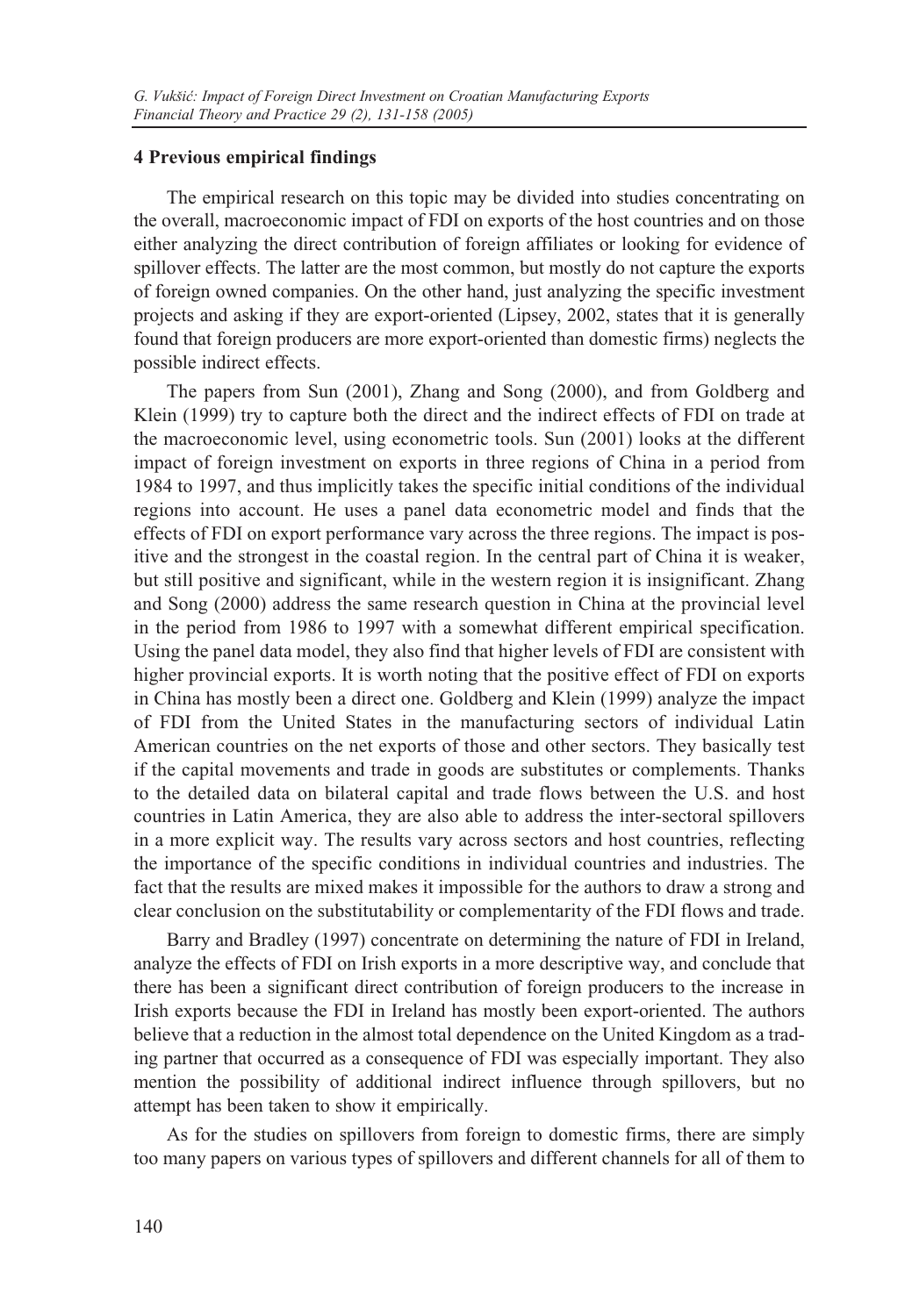#### **4 Previous empirical findings**

The empirical research on this topic may be divided into studies concentrating on the overall, macroeconomic impact of FDI on exports of the host countries and on those either analyzing the direct contribution of foreign affiliates or looking for evidence of spillover effects. The latter are the most common, but mostly do not capture the exports of foreign owned companies. On the other hand, just analyzing the specific investment projects and asking if they are export-oriented (Lipsey, 2002, states that it is generally found that foreign producers are more export-oriented than domestic firms) neglects the possible indirect effects.

The papers from Sun (2001), Zhang and Song (2000), and from Goldberg and Klein (1999) try to capture both the direct and the indirect effects of FDI on trade at the macroeconomic level, using econometric tools. Sun (2001) looks at the different impact of foreign investment on exports in three regions of China in a period from 1984 to 1997, and thus implicitly takes the specific initial conditions of the individual regions into account. He uses a panel data econometric model and finds that the effects of FDI on export performance vary across the three regions. The impact is positive and the strongest in the coastal region. In the central part of China it is weaker, but still positive and significant, while in the western region it is insignificant. Zhang and Song (2000) address the same research question in China at the provincial level in the period from 1986 to 1997 with a somewhat different empirical specification. Using the panel data model, they also find that higher levels of FDI are consistent with higher provincial exports. It is worth noting that the positive effect of FDI on exports in China has mostly been a direct one. Goldberg and Klein (1999) analyze the impact of FDI from the United States in the manufacturing sectors of individual Latin American countries on the net exports of those and other sectors. They basically test if the capital movements and trade in goods are substitutes or complements. Thanks to the detailed data on bilateral capital and trade flows between the U.S. and host countries in Latin America, they are also able to address the inter-sectoral spillovers in a more explicit way. The results vary across sectors and host countries, reflecting the importance of the specific conditions in individual countries and industries. The fact that the results are mixed makes it impossible for the authors to draw a strong and clear conclusion on the substitutability or complementarity of the FDI flows and trade.

Barry and Bradley (1997) concentrate on determining the nature of FDI in Ireland, analyze the effects of FDI on Irish exports in a more descriptive way, and conclude that there has been a significant direct contribution of foreign producers to the increase in Irish exports because the FDI in Ireland has mostly been export-oriented. The authors believe that a reduction in the almost total dependence on the United Kingdom as a trading partner that occurred as a consequence of FDI was especially important. They also mention the possibility of additional indirect influence through spillovers, but no attempt has been taken to show it empirically.

As for the studies on spillovers from foreign to domestic firms, there are simply too many papers on various types of spillovers and different channels for all of them to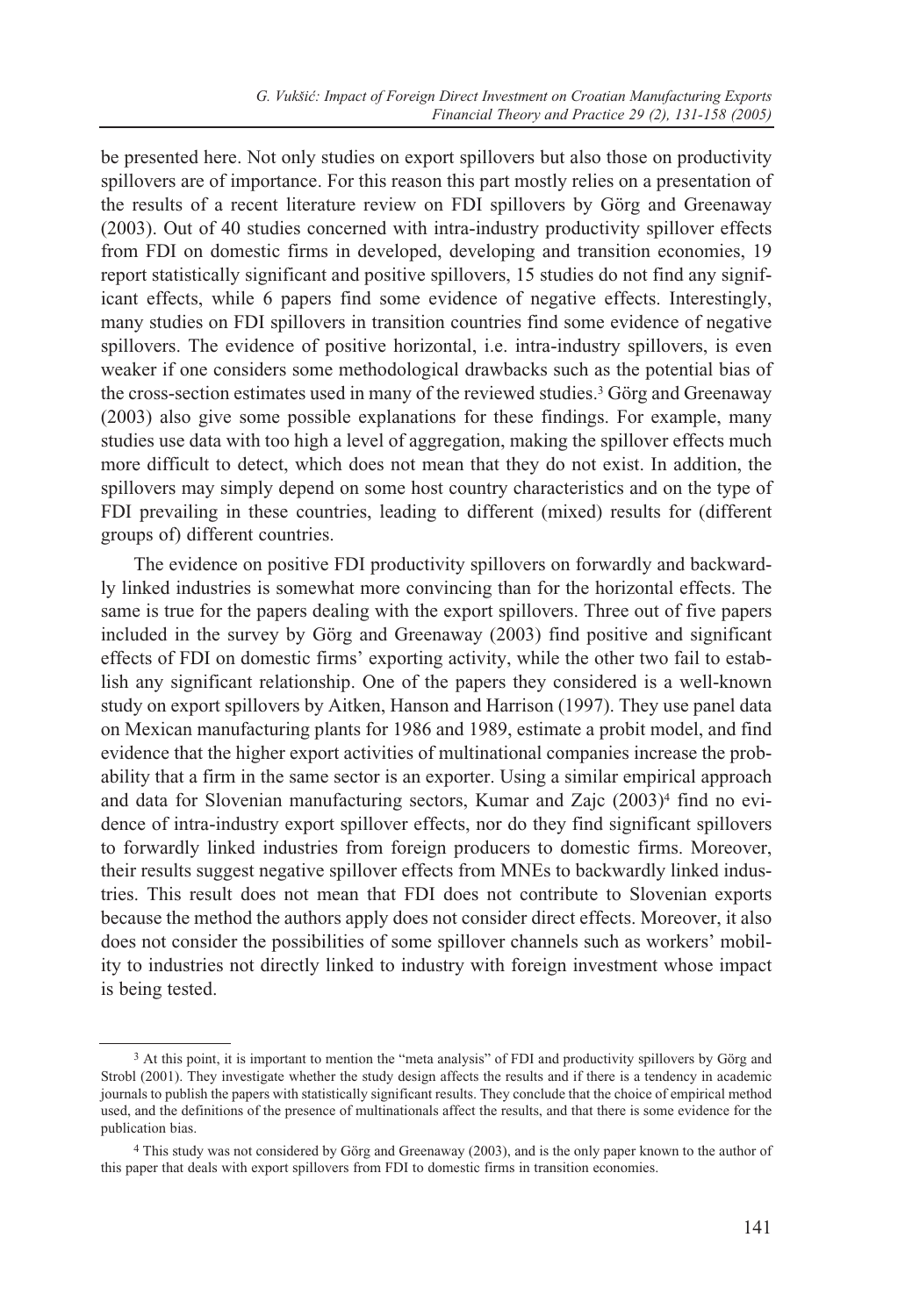be presented here. Not only studies on export spillovers but also those on productivity spillovers are of importance. For this reason this part mostly relies on a presentation of the results of a recent literature review on FDI spillovers by Görg and Greenaway (2003). Out of 40 studies concerned with intra-industry productivity spillover effects from FDI on domestic firms in developed, developing and transition economies, 19 report statistically significant and positive spillovers, 15 studies do not find any significant effects, while 6 papers find some evidence of negative effects. Interestingly, many studies on FDI spillovers in transition countries find some evidence of negative spillovers. The evidence of positive horizontal, i.e. intra-industry spillovers, is even weaker if one considers some methodological drawbacks such as the potential bias of the cross-section estimates used in many of the reviewed studies.3 Görg and Greenaway (2003) also give some possible explanations for these findings. For example, many studies use data with too high a level of aggregation, making the spillover effects much more difficult to detect, which does not mean that they do not exist. In addition, the spillovers may simply depend on some host country characteristics and on the type of FDI prevailing in these countries, leading to different (mixed) results for (different groups of) different countries.

The evidence on positive FDI productivity spillovers on forwardly and backwardly linked industries is somewhat more convincing than for the horizontal effects. The same is true for the papers dealing with the export spillovers. Three out of five papers included in the survey by Görg and Greenaway (2003) find positive and significant effects of FDI on domestic firms' exporting activity, while the other two fail to establish any significant relationship. One of the papers they considered is a well-known study on export spillovers by Aitken, Hanson and Harrison (1997). They use panel data on Mexican manufacturing plants for 1986 and 1989, estimate a probit model, and find evidence that the higher export activities of multinational companies increase the probability that a firm in the same sector is an exporter. Using a similar empirical approach and data for Slovenian manufacturing sectors, Kumar and Zajc (2003)<sup>4</sup> find no evidence of intra-industry export spillover effects, nor do they find significant spillovers to forwardly linked industries from foreign producers to domestic firms. Moreover, their results suggest negative spillover effects from MNEs to backwardly linked industries. This result does not mean that FDI does not contribute to Slovenian exports because the method the authors apply does not consider direct effects. Moreover, it also does not consider the possibilities of some spillover channels such as workers' mobility to industries not directly linked to industry with foreign investment whose impact is being tested.

<sup>3</sup> At this point, it is important to mention the "meta analysis" of FDI and productivity spillovers by Görg and Strobl (2001). They investigate whether the study design affects the results and if there is a tendency in academic journals to publish the papers with statistically significant results. They conclude that the choice of empirical method used, and the definitions of the presence of multinationals affect the results, and that there is some evidence for the publication bias.

<sup>4</sup> This study was not considered by Görg and Greenaway (2003), and is the only paper known to the author of this paper that deals with export spillovers from FDI to domestic firms in transition economies.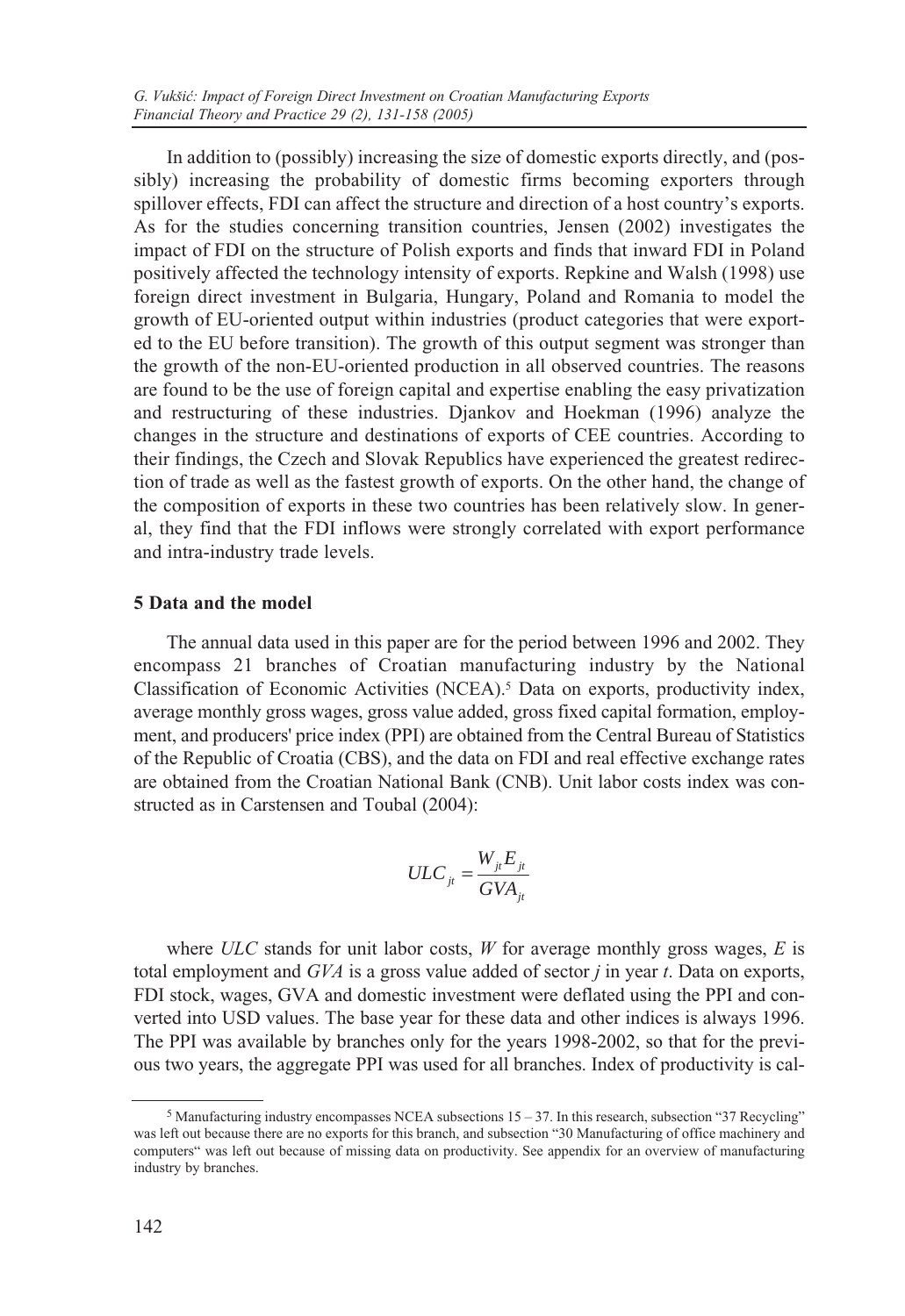In addition to (possibly) increasing the size of domestic exports directly, and (possibly) increasing the probability of domestic firms becoming exporters through spillover effects, FDI can affect the structure and direction of a host country's exports. As for the studies concerning transition countries, Jensen (2002) investigates the impact of FDI on the structure of Polish exports and finds that inward FDI in Poland positively affected the technology intensity of exports. Repkine and Walsh (1998) use foreign direct investment in Bulgaria, Hungary, Poland and Romania to model the growth of EU-oriented output within industries (product categories that were exported to the EU before transition). The growth of this output segment was stronger than the growth of the non-EU-oriented production in all observed countries. The reasons are found to be the use of foreign capital and expertise enabling the easy privatization and restructuring of these industries. Djankov and Hoekman (1996) analyze the changes in the structure and destinations of exports of CEE countries. According to their findings, the Czech and Slovak Republics have experienced the greatest redirection of trade as well as the fastest growth of exports. On the other hand, the change of the composition of exports in these two countries has been relatively slow. In general, they find that the FDI inflows were strongly correlated with export performance and intra-industry trade levels.

#### **5 Data and the model**

The annual data used in this paper are for the period between 1996 and 2002. They encompass 21 branches of Croatian manufacturing industry by the National Classification of Economic Activities (NCEA).5 Data on exports, productivity index, average monthly gross wages, gross value added, gross fixed capital formation, employment, and producers' price index (PPI) are obtained from the Central Bureau of Statistics of the Republic of Croatia (CBS), and the data on FDI and real effective exchange rates are obtained from the Croatian National Bank (CNB). Unit labor costs index was constructed as in Carstensen and Toubal (2004):

$$
ULC_{ji} = \frac{W_{jt} E_{jt}}{GVA_{jt}}
$$

where *ULC* stands for unit labor costs, *W* for average monthly gross wages, *E* is total employment and *GVA* is a gross value added of sector *j* in year *t*. Data on exports, FDI stock, wages, GVA and domestic investment were deflated using the PPI and converted into USD values. The base year for these data and other indices is always 1996. The PPI was available by branches only for the years 1998-2002, so that for the previous two years, the aggregate PPI was used for all branches. Index of productivity is cal-

<sup>5</sup> Manufacturing industry encompasses NCEA subsections 15 – 37. In this research, subsection "37 Recycling" was left out because there are no exports for this branch, and subsection "30 Manufacturing of office machinery and computers" was left out because of missing data on productivity. See appendix for an overview of manufacturing industry by branches.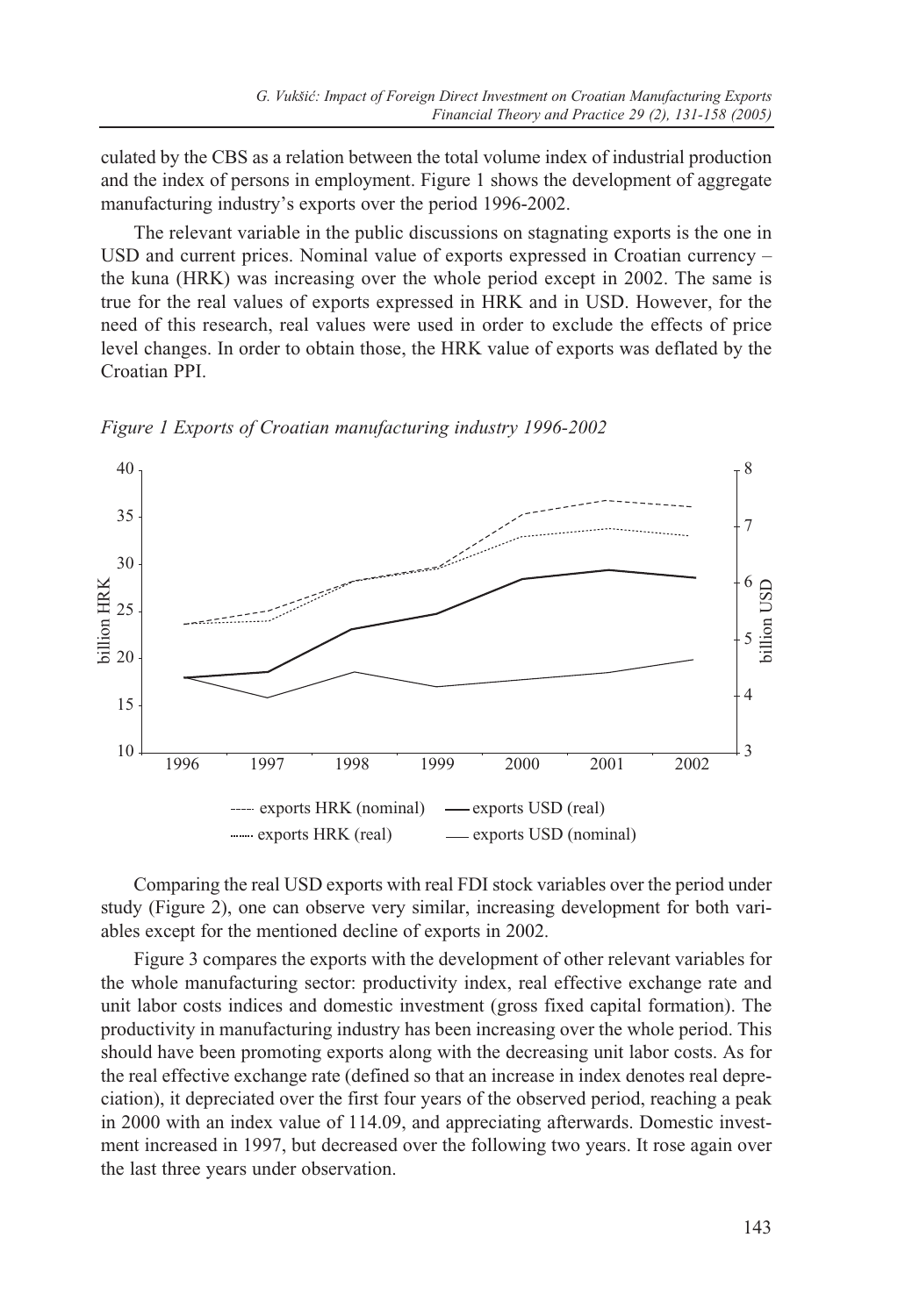culated by the CBS as a relation between the total volume index of industrial production and the index of persons in employment. Figure 1 shows the development of aggregate manufacturing industry's exports over the period 1996-2002.

The relevant variable in the public discussions on stagnating exports is the one in USD and current prices. Nominal value of exports expressed in Croatian currency – the kuna (HRK) was increasing over the whole period except in 2002. The same is true for the real values of exports expressed in HRK and in USD. However, for the need of this research, real values were used in order to exclude the effects of price level changes. In order to obtain those, the HRK value of exports was deflated by the Croatian PPI.

8 40 35 7 30 6 pillion HRK billion HRK billion USD 25 5 20 4 15 10 3 1996 1997 1998 1999 2000 2001 2002 -- exports HRK (nominal) - exports USD (real) exports HRK (real) - exports USD (nominal)

*Figure 1 Exports of Croatian manufacturing industry 1996-2002*

Comparing the real USD exports with real FDI stock variables over the period under study (Figure 2), one can observe very similar, increasing development for both variables except for the mentioned decline of exports in 2002.

Figure 3 compares the exports with the development of other relevant variables for the whole manufacturing sector: productivity index, real effective exchange rate and unit labor costs indices and domestic investment (gross fixed capital formation). The productivity in manufacturing industry has been increasing over the whole period. This should have been promoting exports along with the decreasing unit labor costs. As for the real effective exchange rate (defined so that an increase in index denotes real depreciation), it depreciated over the first four years of the observed period, reaching a peak in 2000 with an index value of 114.09, and appreciating afterwards. Domestic investment increased in 1997, but decreased over the following two years. It rose again over the last three years under observation.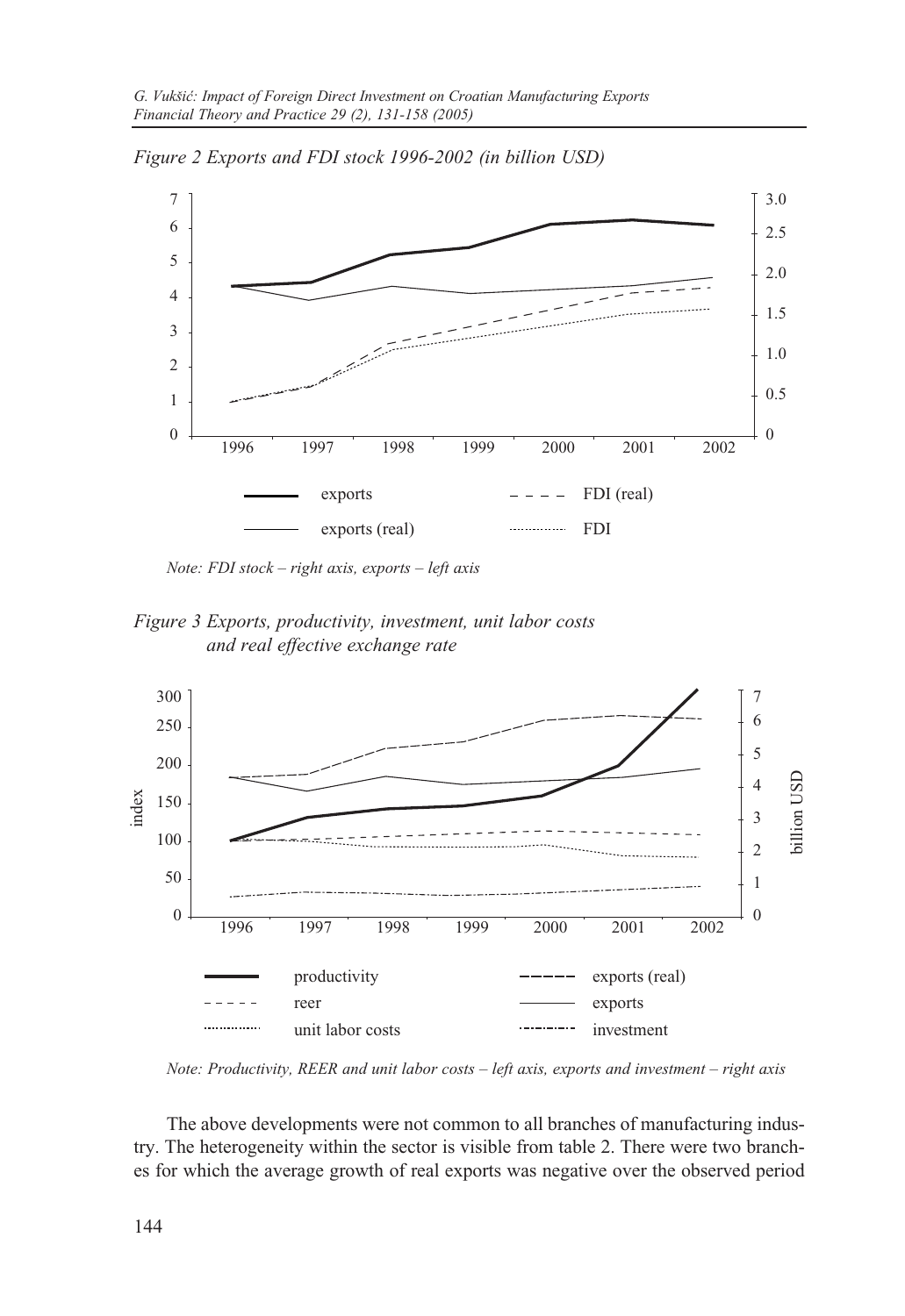

*Figure 2 Exports and FDI stock 1996-2002 (in billion USD)*

*Note: FDI stock – right axis, exports – left axis*

*Figure 3 Exports, productivity, investment, unit labor costs and real effective exchange rate*



*Note: Productivity, REER and unit labor costs – left axis, exports and investment – right axis*

The above developments were not common to all branches of manufacturing industry. The heterogeneity within the sector is visible from table 2. There were two branches for which the average growth of real exports was negative over the observed period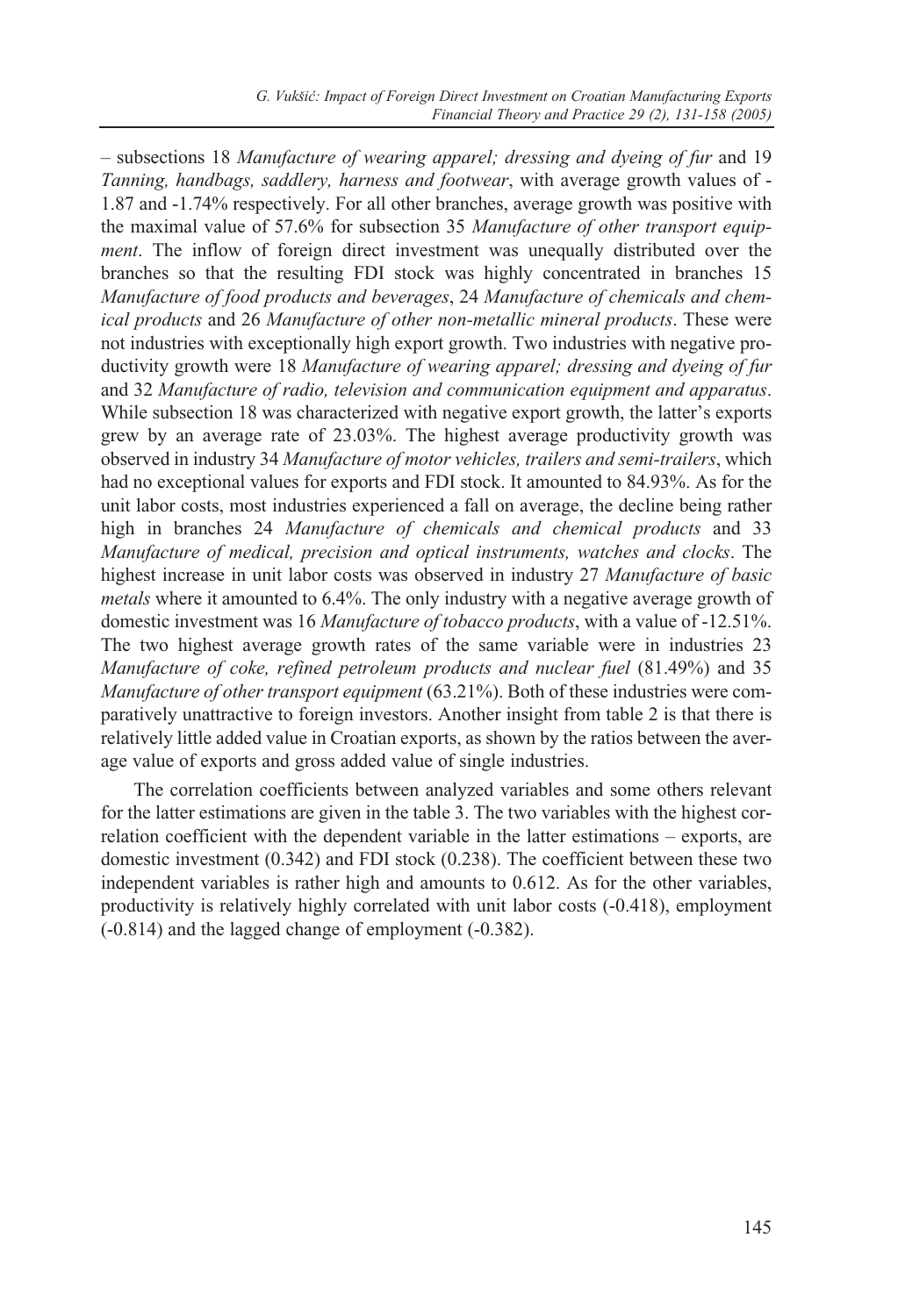– subsections 18 *Manufacture of wearing apparel; dressing and dyeing of fur* and 19 *Tanning, handbags, saddlery, harness and footwear*, with average growth values of - 1.87 and -1.74% respectively. For all other branches, average growth was positive with the maximal value of 57.6% for subsection 35 *Manufacture of other transport equipment*. The inflow of foreign direct investment was unequally distributed over the branches so that the resulting FDI stock was highly concentrated in branches 15 *Manufacture of food products and beverages*, 24 *Manufacture of chemicals and chemical products* and 26 *Manufacture of other non-metallic mineral products*. These were not industries with exceptionally high export growth. Two industries with negative productivity growth were 18 *Manufacture of wearing apparel; dressing and dyeing of fur* and 32 *Manufacture of radio, television and communication equipment and apparatus*. While subsection 18 was characterized with negative export growth, the latter's exports grew by an average rate of 23.03%. The highest average productivity growth was observed in industry 34 *Manufacture of motor vehicles, trailers and semi-trailers*, which had no exceptional values for exports and FDI stock. It amounted to 84.93%. As for the unit labor costs, most industries experienced a fall on average, the decline being rather high in branches 24 *Manufacture of chemicals and chemical products* and 33 *Manufacture of medical, precision and optical instruments, watches and clocks*. The highest increase in unit labor costs was observed in industry 27 *Manufacture of basic metals* where it amounted to 6.4%. The only industry with a negative average growth of domestic investment was 16 *Manufacture of tobacco products*, with a value of -12.51%. The two highest average growth rates of the same variable were in industries 23 *Manufacture of coke, refined petroleum products and nuclear fuel* (81.49%) and 35 *Manufacture of other transport equipment* (63.21%). Both of these industries were comparatively unattractive to foreign investors. Another insight from table 2 is that there is relatively little added value in Croatian exports, as shown by the ratios between the average value of exports and gross added value of single industries.

The correlation coefficients between analyzed variables and some others relevant for the latter estimations are given in the table 3. The two variables with the highest correlation coefficient with the dependent variable in the latter estimations – exports, are domestic investment (0.342) and FDI stock (0.238). The coefficient between these two independent variables is rather high and amounts to 0.612. As for the other variables, productivity is relatively highly correlated with unit labor costs (-0.418), employment (-0.814) and the lagged change of employment (-0.382).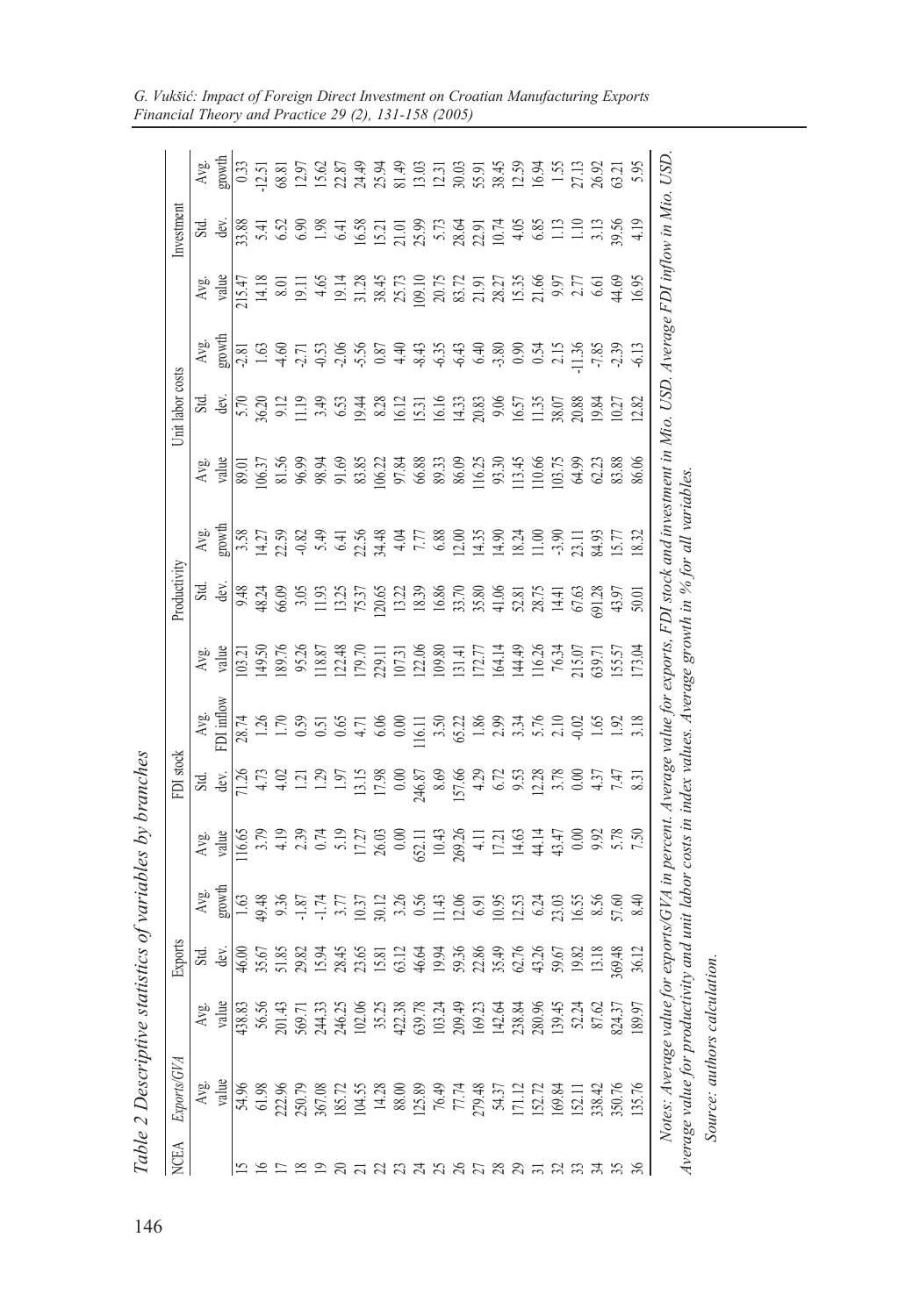|             | Table 2 Descriptive st                                                                                                                                                   |                            |                                     | tatistics of variables by branches |               |                                                                                                                                                                                                                                                                                                  |                                                                                                            |       |              |        |                               |                                                                                                                                                                                                                                                                                                                                                                                            |                |             |                |
|-------------|--------------------------------------------------------------------------------------------------------------------------------------------------------------------------|----------------------------|-------------------------------------|------------------------------------|---------------|--------------------------------------------------------------------------------------------------------------------------------------------------------------------------------------------------------------------------------------------------------------------------------------------------|------------------------------------------------------------------------------------------------------------|-------|--------------|--------|-------------------------------|--------------------------------------------------------------------------------------------------------------------------------------------------------------------------------------------------------------------------------------------------------------------------------------------------------------------------------------------------------------------------------------------|----------------|-------------|----------------|
| <b>NCEA</b> | Exports/GVA                                                                                                                                                              |                            | Exports                             |                                    |               | FDI stock                                                                                                                                                                                                                                                                                        |                                                                                                            |       | Productivity |        |                               | Unit labor costs                                                                                                                                                                                                                                                                                                                                                                           |                | Investmen   |                |
|             | Avg.                                                                                                                                                                     | Avg.                       |                                     |                                    |               | Std.<br>dev.                                                                                                                                                                                                                                                                                     | $\frac{Avg}{T}$                                                                                            | Avg.  |              | Avg.   |                               | Std.<br>dev.                                                                                                                                                                                                                                                                                                                                                                               |                |             |                |
|             | value                                                                                                                                                                    | value                      | Std.<br>dev.                        | Avg.<br>growth                     | Avg.<br>value |                                                                                                                                                                                                                                                                                                  |                                                                                                            | value | Std.<br>dev  | growth | $\frac{\text{Avg}}{\text{y}}$ |                                                                                                                                                                                                                                                                                                                                                                                            | Avg.<br>growth | Std.<br>dev | Avg.<br>growth |
|             | 54.96                                                                                                                                                                    | 438.83                     |                                     |                                    |               |                                                                                                                                                                                                                                                                                                  |                                                                                                            |       |              |        |                               |                                                                                                                                                                                                                                                                                                                                                                                            |                |             |                |
|             | 61.98                                                                                                                                                                    |                            | $46.\overline{00}$<br>35.67         |                                    |               |                                                                                                                                                                                                                                                                                                  |                                                                                                            |       |              |        |                               |                                                                                                                                                                                                                                                                                                                                                                                            |                |             |                |
|             | 222.96                                                                                                                                                                   | 201.43                     |                                     |                                    |               |                                                                                                                                                                                                                                                                                                  |                                                                                                            |       |              |        |                               |                                                                                                                                                                                                                                                                                                                                                                                            |                |             |                |
|             |                                                                                                                                                                          | 569.71                     | 51.85<br>29.81<br>15.94.45<br>23.65 |                                    |               | $\frac{18}{11}$ $\frac{18}{4}$ $\frac{18}{11}$ $\frac{18}{11}$                                                                                                                                                                                                                                   | 8 1 1 1 0 0 0 4 0 0 0 1 0 1 2 3 4 6 7 8 9 7 8 9 7<br>8 1 1 1 0 0 0 4 0 0 0 1 1 2 8 9 1 2 9 1 0 1 0 1 1 1 2 |       |              |        |                               | $\begin{array}{l} \text{5.78 } \\ 5.20 \text{ } \\ 2.11 \text{ } \\ 3.60 \text{ } \\ 4.71 \text{ } \\ 5.82 \text{ } \\ 6.71 \text{ } \\ 7.83 \text{ } \\ 8.71 \text{ } \\ 9.83 \text{ } \\ 1.71 \text{ } \\ 1.71 \text{ } \\ 1.71 \text{ } \\ 1.71 \text{ } \\ 1.71 \text{ } \\ 1.71 \text{ } \\ 1.71 \text{ } \\ 1.71 \text{ } \\ 1.71 \text{ } \\ 1.71 \text{ } \\ 1.71 \text{ } \\ 1.7$ |                |             |                |
|             | 250.79<br>367.08<br>185.72<br>104.55                                                                                                                                     | 244.33<br>246.25           |                                     |                                    |               |                                                                                                                                                                                                                                                                                                  |                                                                                                            |       |              |        |                               |                                                                                                                                                                                                                                                                                                                                                                                            |                |             |                |
|             |                                                                                                                                                                          |                            |                                     |                                    |               |                                                                                                                                                                                                                                                                                                  |                                                                                                            |       |              |        |                               |                                                                                                                                                                                                                                                                                                                                                                                            |                |             |                |
|             |                                                                                                                                                                          | 102.0                      |                                     |                                    |               |                                                                                                                                                                                                                                                                                                  |                                                                                                            |       |              |        |                               |                                                                                                                                                                                                                                                                                                                                                                                            |                |             |                |
|             | $\begin{array}{c} 14.28 \\ 88.00 \\ 125.89 \end{array}$                                                                                                                  | 35.2                       | 15.81                               |                                    |               |                                                                                                                                                                                                                                                                                                  |                                                                                                            |       |              |        |                               |                                                                                                                                                                                                                                                                                                                                                                                            |                |             |                |
|             |                                                                                                                                                                          | 422.38                     |                                     |                                    |               |                                                                                                                                                                                                                                                                                                  |                                                                                                            |       |              |        |                               |                                                                                                                                                                                                                                                                                                                                                                                            |                |             |                |
|             |                                                                                                                                                                          | 639.78                     |                                     |                                    |               |                                                                                                                                                                                                                                                                                                  |                                                                                                            |       |              |        |                               |                                                                                                                                                                                                                                                                                                                                                                                            |                |             |                |
|             |                                                                                                                                                                          | 103.24                     |                                     |                                    |               |                                                                                                                                                                                                                                                                                                  |                                                                                                            |       |              |        |                               |                                                                                                                                                                                                                                                                                                                                                                                            |                |             |                |
|             |                                                                                                                                                                          | 209.49                     |                                     |                                    |               |                                                                                                                                                                                                                                                                                                  |                                                                                                            |       |              |        |                               |                                                                                                                                                                                                                                                                                                                                                                                            |                |             |                |
|             |                                                                                                                                                                          | 169.2                      |                                     |                                    |               |                                                                                                                                                                                                                                                                                                  |                                                                                                            |       |              |        |                               |                                                                                                                                                                                                                                                                                                                                                                                            |                |             |                |
|             | 76.49<br>77.74<br>279.48<br>54.37<br>171.12                                                                                                                              |                            |                                     |                                    |               | $\frac{15}{131}$ $\frac{25}{131}$ $\frac{25}{131}$ $\frac{25}{131}$ $\frac{25}{131}$ $\frac{25}{131}$ $\frac{25}{131}$ $\frac{25}{131}$ $\frac{25}{131}$ $\frac{25}{131}$ $\frac{25}{131}$ $\frac{25}{131}$ $\frac{25}{131}$ $\frac{25}{131}$ $\frac{25}{131}$ $\frac{25}{131}$ $\frac{25}{131}$ |                                                                                                            |       |              |        |                               |                                                                                                                                                                                                                                                                                                                                                                                            |                |             |                |
|             |                                                                                                                                                                          | 142.64<br>238.84<br>280.96 |                                     |                                    |               |                                                                                                                                                                                                                                                                                                  |                                                                                                            |       |              |        |                               |                                                                                                                                                                                                                                                                                                                                                                                            |                |             |                |
|             | 152.72                                                                                                                                                                   |                            |                                     |                                    |               |                                                                                                                                                                                                                                                                                                  |                                                                                                            |       |              |        |                               |                                                                                                                                                                                                                                                                                                                                                                                            |                |             |                |
|             | 169.84                                                                                                                                                                   | 139.4                      |                                     |                                    |               |                                                                                                                                                                                                                                                                                                  |                                                                                                            |       |              |        |                               |                                                                                                                                                                                                                                                                                                                                                                                            |                |             |                |
|             | 152.11                                                                                                                                                                   | 52.24<br>87.62             |                                     |                                    |               |                                                                                                                                                                                                                                                                                                  |                                                                                                            |       |              |        |                               |                                                                                                                                                                                                                                                                                                                                                                                            |                |             |                |
|             | 338.42                                                                                                                                                                   |                            |                                     |                                    |               |                                                                                                                                                                                                                                                                                                  |                                                                                                            |       |              |        |                               |                                                                                                                                                                                                                                                                                                                                                                                            |                |             |                |
|             | 350.76                                                                                                                                                                   | 824.3                      | 13.18<br>69.48<br>36.12             |                                    |               |                                                                                                                                                                                                                                                                                                  |                                                                                                            |       |              |        |                               |                                                                                                                                                                                                                                                                                                                                                                                            |                |             |                |
| $\%$        | 135.76                                                                                                                                                                   | 189.9                      |                                     |                                    |               |                                                                                                                                                                                                                                                                                                  |                                                                                                            |       |              |        |                               |                                                                                                                                                                                                                                                                                                                                                                                            |                |             |                |
|             | Notes: Average value for exports/GVA in percent. Average value for exports, FDI stock and investment in Mio. USD. Average FDI inflow in Mio.<br>Average value for produc |                            |                                     |                                    |               |                                                                                                                                                                                                                                                                                                  | tivity and unit labor costs in index values. Average growth in % for all variables                         |       |              |        |                               |                                                                                                                                                                                                                                                                                                                                                                                            |                |             | USD.           |
|             |                                                                                                                                                                          |                            |                                     |                                    |               |                                                                                                                                                                                                                                                                                                  |                                                                                                            |       |              |        |                               |                                                                                                                                                                                                                                                                                                                                                                                            |                |             |                |

*Source: authors calculation.*

Source: authors calculation.

G. Vukšić: Impact of Foreign Direct Investment on Croatian Manufacturing Exports *Financial Theory and Practice 29 (2), 131-158 (2005)*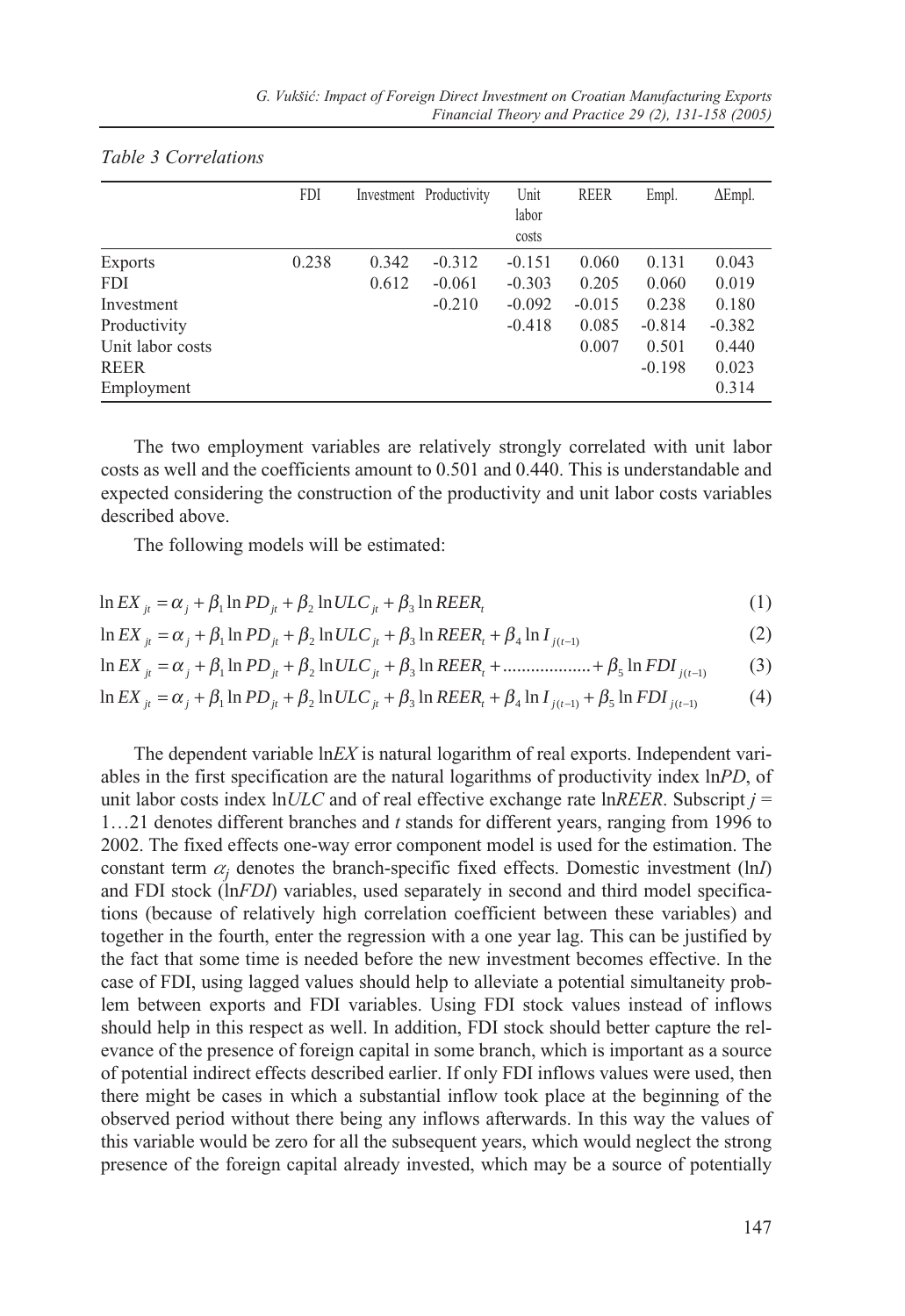|                  | <b>FDI</b> |       | Investment Productivity | Unit<br>labor | <b>REER</b> | Empl.    | $\Delta$ Empl. |
|------------------|------------|-------|-------------------------|---------------|-------------|----------|----------------|
|                  |            |       |                         | costs         |             |          |                |
| Exports          | 0.238      | 0.342 | $-0.312$                | $-0.151$      | 0.060       | 0.131    | 0.043          |
| FDI              |            | 0.612 | $-0.061$                | $-0.303$      | 0.205       | 0.060    | 0.019          |
| Investment       |            |       | $-0.210$                | $-0.092$      | $-0.015$    | 0.238    | 0.180          |
| Productivity     |            |       |                         | $-0.418$      | 0.085       | $-0.814$ | $-0.382$       |
| Unit labor costs |            |       |                         |               | 0.007       | 0.501    | 0.440          |
| <b>REER</b>      |            |       |                         |               |             | $-0.198$ | 0.023          |
| Employment       |            |       |                         |               |             |          | 0.314          |

#### *Table 3 Correlations*

The two employment variables are relatively strongly correlated with unit labor costs as well and the coefficients amount to 0.501 and 0.440. This is understandable and expected considering the construction of the productivity and unit labor costs variables described above.

The following models will be estimated:

$$
\ln EX_{ji} = \alpha_j + \beta_1 \ln PD_{ji} + \beta_2 \ln ULC_{ji} + \beta_3 \ln REER_i
$$
\n(1)

$$
\ln EX_{ji} = \alpha_j + \beta_1 \ln PD_{ji} + \beta_2 \ln ULC_{ji} + \beta_3 \ln REER_i + \beta_4 \ln I_{j(t-1)}
$$
 (2)

$$
\ln EX_{ji} = \alpha_j + \beta_1 \ln PD_{ji} + \beta_2 \ln ULC_{ji} + \beta_3 \ln REER_i + \dots + \beta_5 \ln FDI_{j(t-1)}
$$
(3)

$$
\ln EX_{ji} = \alpha_j + \beta_1 \ln PD_{ji} + \beta_2 \ln ULC_{ji} + \beta_3 \ln REER_i + \beta_4 \ln I_{j(t-1)} + \beta_5 \ln FDI_{j(t-1)}
$$
(4)

The dependent variable ln*EX* is natural logarithm of real exports. Independent variables in the first specification are the natural logarithms of productivity index ln*PD*, of unit labor costs index  $lnULC$  and of real effective exchange rate  $lnREER$ . Subscript  $j =$ 1…21 denotes different branches and *t* stands for different years, ranging from 1996 to 2002. The fixed effects one-way error component model is used for the estimation. The constant term  $\alpha$ <sub>i</sub> denotes the branch-specific fixed effects. Domestic investment (ln*I*) and FDI stock (ln*FDI*) variables, used separately in second and third model specifications (because of relatively high correlation coefficient between these variables) and together in the fourth, enter the regression with a one year lag. This can be justified by the fact that some time is needed before the new investment becomes effective. In the case of FDI, using lagged values should help to alleviate a potential simultaneity problem between exports and FDI variables. Using FDI stock values instead of inflows should help in this respect as well. In addition, FDI stock should better capture the relevance of the presence of foreign capital in some branch, which is important as a source of potential indirect effects described earlier. If only FDI inflows values were used, then there might be cases in which a substantial inflow took place at the beginning of the observed period without there being any inflows afterwards. In this way the values of this variable would be zero for all the subsequent years, which would neglect the strong presence of the foreign capital already invested, which may be a source of potentially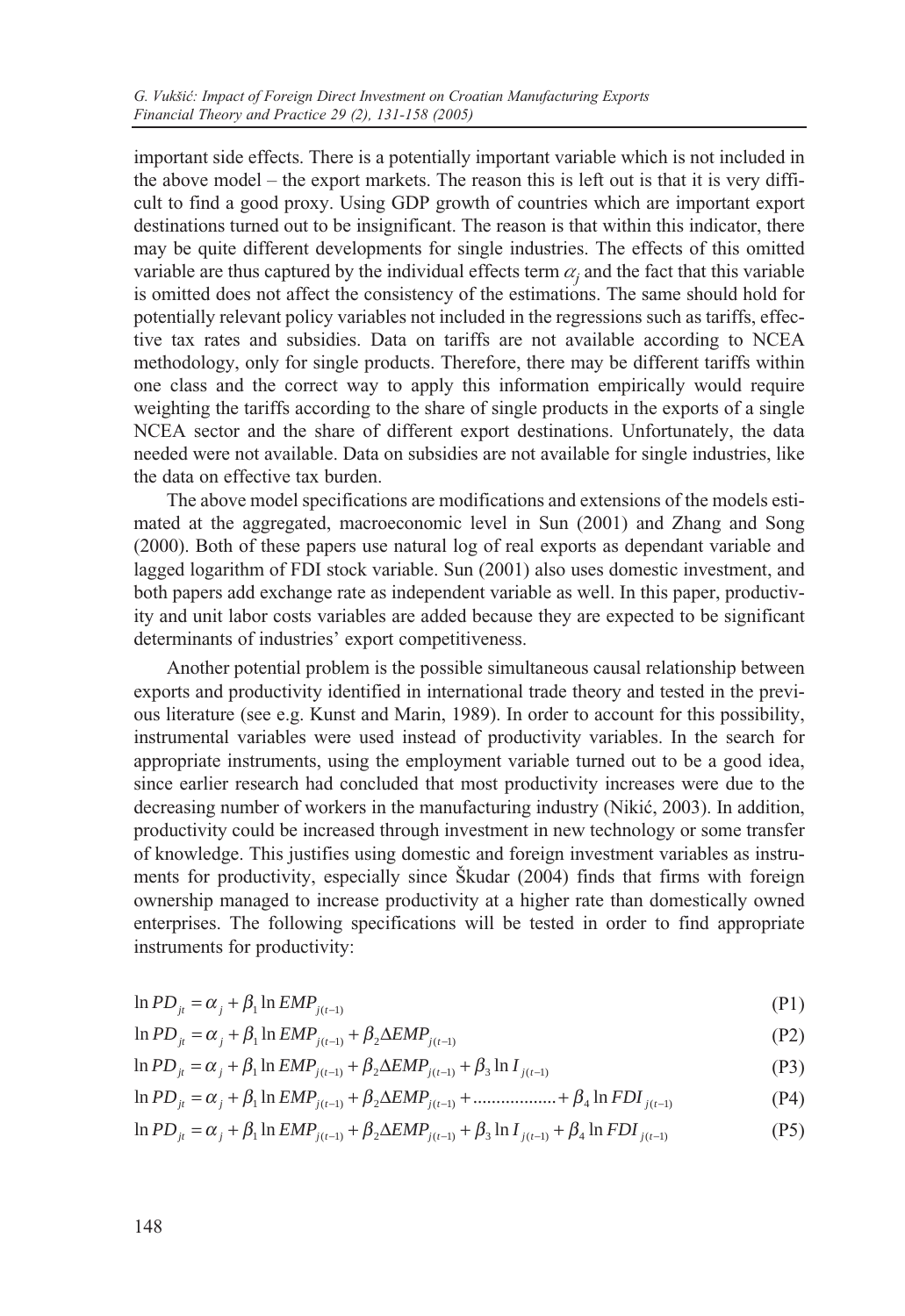important side effects. There is a potentially important variable which is not included in the above model – the export markets. The reason this is left out is that it is very difficult to find a good proxy. Using GDP growth of countries which are important export destinations turned out to be insignificant. The reason is that within this indicator, there may be quite different developments for single industries. The effects of this omitted variable are thus captured by the individual effects term  $\alpha_i$  and the fact that this variable is omitted does not affect the consistency of the estimations. The same should hold for potentially relevant policy variables not included in the regressions such as tariffs, effective tax rates and subsidies. Data on tariffs are not available according to NCEA methodology, only for single products. Therefore, there may be different tariffs within one class and the correct way to apply this information empirically would require weighting the tariffs according to the share of single products in the exports of a single NCEA sector and the share of different export destinations. Unfortunately, the data needed were not available. Data on subsidies are not available for single industries, like the data on effective tax burden.

The above model specifications are modifications and extensions of the models estimated at the aggregated, macroeconomic level in Sun (2001) and Zhang and Song (2000). Both of these papers use natural log of real exports as dependant variable and lagged logarithm of FDI stock variable. Sun (2001) also uses domestic investment, and both papers add exchange rate as independent variable as well. In this paper, productivity and unit labor costs variables are added because they are expected to be significant determinants of industries' export competitiveness.

Another potential problem is the possible simultaneous causal relationship between exports and productivity identified in international trade theory and tested in the previous literature (see e.g. Kunst and Marin, 1989). In order to account for this possibility, instrumental variables were used instead of productivity variables. In the search for appropriate instruments, using the employment variable turned out to be a good idea, since earlier research had concluded that most productivity increases were due to the decreasing number of workers in the manufacturing industry (Nikić, 2003). In addition, productivity could be increased through investment in new technology or some transfer of knowledge. This justifies using domestic and foreign investment variables as instruments for productivity, especially since Škudar (2004) finds that firms with foreign ownership managed to increase productivity at a higher rate than domestically owned enterprises. The following specifications will be tested in order to find appropriate instruments for productivity:

$$
\ln PD_{ji} = \alpha_j + \beta_1 \ln EMP_{j(t-1)}
$$
\n<sup>(P1)</sup>

$$
\ln PD_{j} = \alpha_j + \beta_1 \ln EMP_{j(t-1)} + \beta_2 \Delta EMP_{j(t-1)}
$$
\n(P2)

$$
\ln PD_{jt} = \alpha_j + \beta_1 \ln EMP_{j(t-1)} + \beta_2 \Delta EMP_{j(t-1)} + \beta_3 \ln I_{j(t-1)}
$$
(P3)

$$
\ln PD_{ji} = \alpha_j + \beta_1 \ln EMP_{j(t-1)} + \beta_2 \Delta EMP_{j(t-1)} + \dots + \dots + \beta_4 \ln FDI_{j(t-1)}
$$
(P4)

(P5)  $\ln PD_{it} = \alpha_i + \beta_1 \ln EMP_{i(t-1)} + \beta_2 \Delta EMP_{i(t-1)} + \beta_3 \ln I_{i(t-1)} + \beta_4 \ln FDI_{i(t-1)}$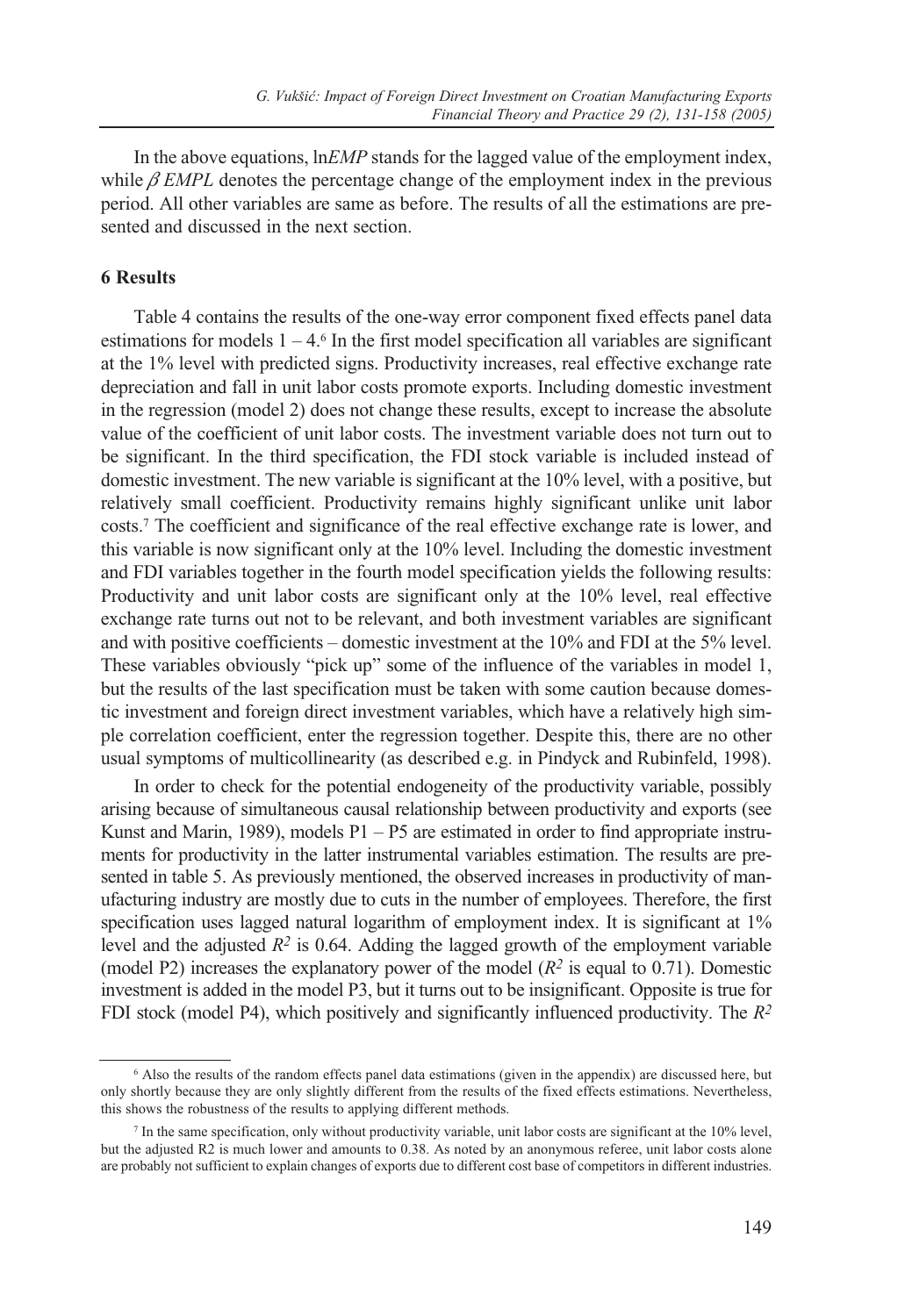In the above equations, ln*EMP* stands for the lagged value of the employment index, while  $\beta$  *EMPL* denotes the percentage change of the employment index in the previous period. All other variables are same as before. The results of all the estimations are presented and discussed in the next section.

#### **6 Results**

Table 4 contains the results of the one-way error component fixed effects panel data estimations for models  $1 - 4.6$  In the first model specification all variables are significant at the 1% level with predicted signs. Productivity increases, real effective exchange rate depreciation and fall in unit labor costs promote exports. Including domestic investment in the regression (model 2) does not change these results, except to increase the absolute value of the coefficient of unit labor costs. The investment variable does not turn out to be significant. In the third specification, the FDI stock variable is included instead of domestic investment. The new variable is significant at the 10% level, with a positive, but relatively small coefficient. Productivity remains highly significant unlike unit labor costs.7 The coefficient and significance of the real effective exchange rate is lower, and this variable is now significant only at the 10% level. Including the domestic investment and FDI variables together in the fourth model specification yields the following results: Productivity and unit labor costs are significant only at the 10% level, real effective exchange rate turns out not to be relevant, and both investment variables are significant and with positive coefficients – domestic investment at the 10% and FDI at the 5% level. These variables obviously "pick up" some of the influence of the variables in model 1, but the results of the last specification must be taken with some caution because domestic investment and foreign direct investment variables, which have a relatively high simple correlation coefficient, enter the regression together. Despite this, there are no other usual symptoms of multicollinearity (as described e.g. in Pindyck and Rubinfeld, 1998).

In order to check for the potential endogeneity of the productivity variable, possibly arising because of simultaneous causal relationship between productivity and exports (see Kunst and Marin, 1989), models P1 – P5 are estimated in order to find appropriate instruments for productivity in the latter instrumental variables estimation. The results are presented in table 5. As previously mentioned, the observed increases in productivity of manufacturing industry are mostly due to cuts in the number of employees. Therefore, the first specification uses lagged natural logarithm of employment index. It is significant at 1% level and the adjusted  $R^2$  is 0.64. Adding the lagged growth of the employment variable (model P2) increases the explanatory power of the model (*R2* is equal to 0.71). Domestic investment is added in the model P3, but it turns out to be insignificant. Opposite is true for FDI stock (model P4), which positively and significantly influenced productivity. The *R2*

<sup>6</sup> Also the results of the random effects panel data estimations (given in the appendix) are discussed here, but only shortly because they are only slightly different from the results of the fixed effects estimations. Nevertheless, this shows the robustness of the results to applying different methods.

<sup>7</sup> In the same specification, only without productivity variable, unit labor costs are significant at the 10% level, but the adjusted R2 is much lower and amounts to 0.38. As noted by an anonymous referee, unit labor costs alone are probably not sufficient to explain changes of exports due to different cost base of competitors in different industries.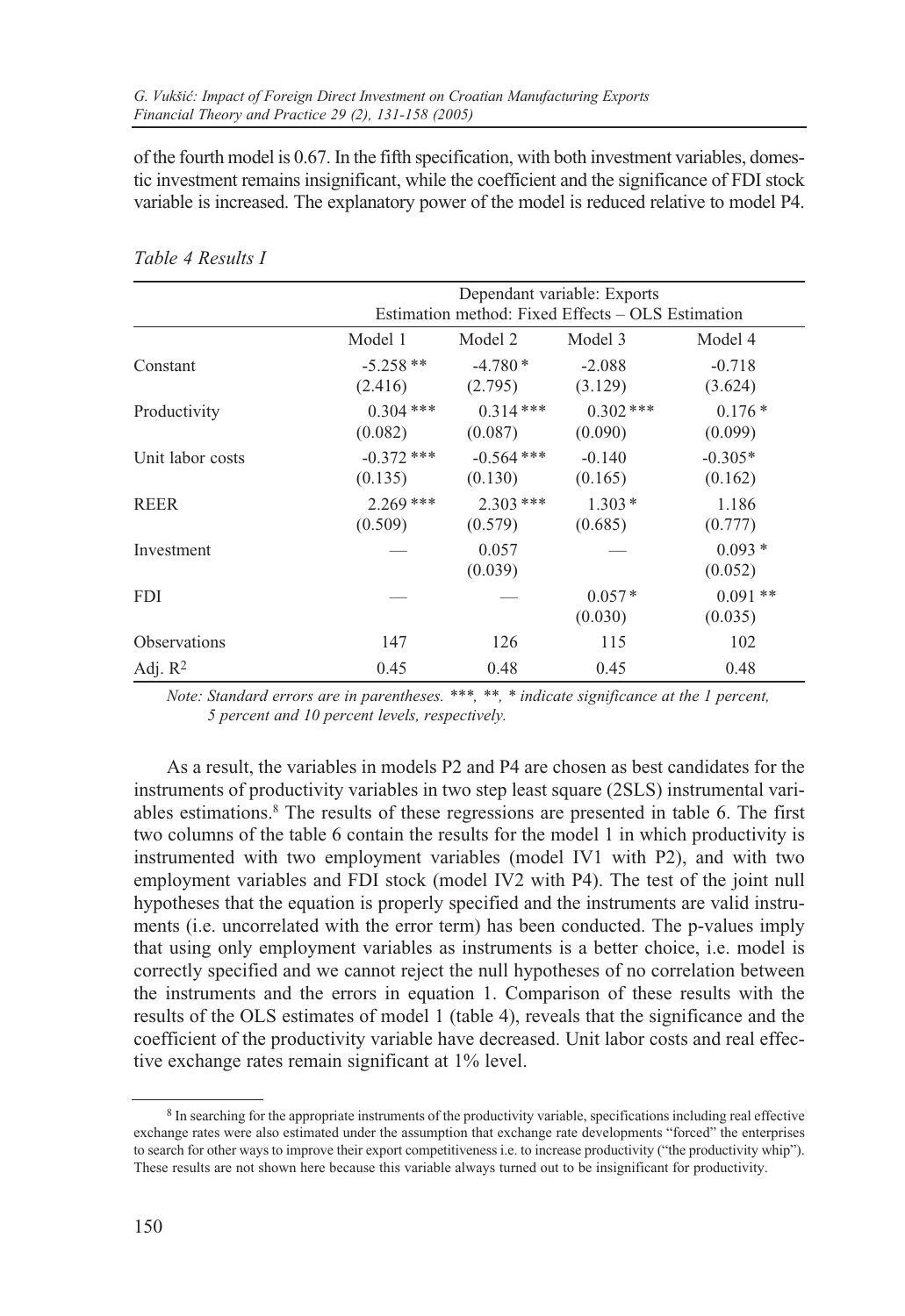of the fourth model is 0.67. In the fifth specification, with both investment variables, domestic investment remains insignificant, while the coefficient and the significance of FDI stock variable is increased. The explanatory power of the model is reduced relative to model P4.

|                     |              |              | Dependant variable: Exports                       |           |
|---------------------|--------------|--------------|---------------------------------------------------|-----------|
|                     |              |              | Estimation method: Fixed Effects – OLS Estimation |           |
|                     | Model 1      | Model 2      | Model 3                                           | Model 4   |
| Constant            | $-5.258**$   | $-4.780*$    | $-2.088$                                          | $-0.718$  |
|                     | (2.416)      | (2.795)      | (3.129)                                           | (3.624)   |
| Productivity        | $0.304$ ***  | $0.314***$   | $0.302$ ***                                       | $0.176*$  |
|                     | (0.082)      | (0.087)      | (0.090)                                           | (0.099)   |
| Unit labor costs    | $-0.372$ *** | $-0.564$ *** | $-0.140$                                          | $-0.305*$ |
|                     | (0.135)      | (0.130)      | (0.165)                                           | (0.162)   |
| <b>REER</b>         | $2.269$ ***  | $2.303$ ***  | $1.303*$                                          | 1.186     |
|                     | (0.509)      | (0.579)      | (0.685)                                           | (0.777)   |
| Investment          |              | 0.057        |                                                   | $0.093*$  |
|                     |              | (0.039)      |                                                   | (0.052)   |
| <b>FDI</b>          |              |              | $0.057*$                                          | $0.091**$ |
|                     |              |              | (0.030)                                           | (0.035)   |
| <b>Observations</b> | 147          | 126          | 115                                               | 102       |
| Adj. $R^2$          | 0.45         | 0.48         | 0.45                                              | 0.48      |

*Table 4 Results I*

*Note: Standard errors are in parentheses. \*\*\*, \*\*, \* indicate significance at the 1 percent, 5 percent and 10 percent levels, respectively.*

As a result, the variables in models P2 and P4 are chosen as best candidates for the instruments of productivity variables in two step least square (2SLS) instrumental variables estimations.8 The results of these regressions are presented in table 6. The first two columns of the table 6 contain the results for the model 1 in which productivity is instrumented with two employment variables (model IV1 with P2), and with two employment variables and FDI stock (model IV2 with P4). The test of the joint null hypotheses that the equation is properly specified and the instruments are valid instruments (i.e. uncorrelated with the error term) has been conducted. The p-values imply that using only employment variables as instruments is a better choice, i.e. model is correctly specified and we cannot reject the null hypotheses of no correlation between the instruments and the errors in equation 1. Comparison of these results with the results of the OLS estimates of model 1 (table 4), reveals that the significance and the coefficient of the productivity variable have decreased. Unit labor costs and real effective exchange rates remain significant at 1% level.

<sup>8</sup> In searching for the appropriate instruments of the productivity variable, specifications including real effective exchange rates were also estimated under the assumption that exchange rate developments "forced" the enterprises to search for other ways to improve their export competitiveness i.e. to increase productivity ("the productivity whip"). These results are not shown here because this variable always turned out to be insignificant for productivity.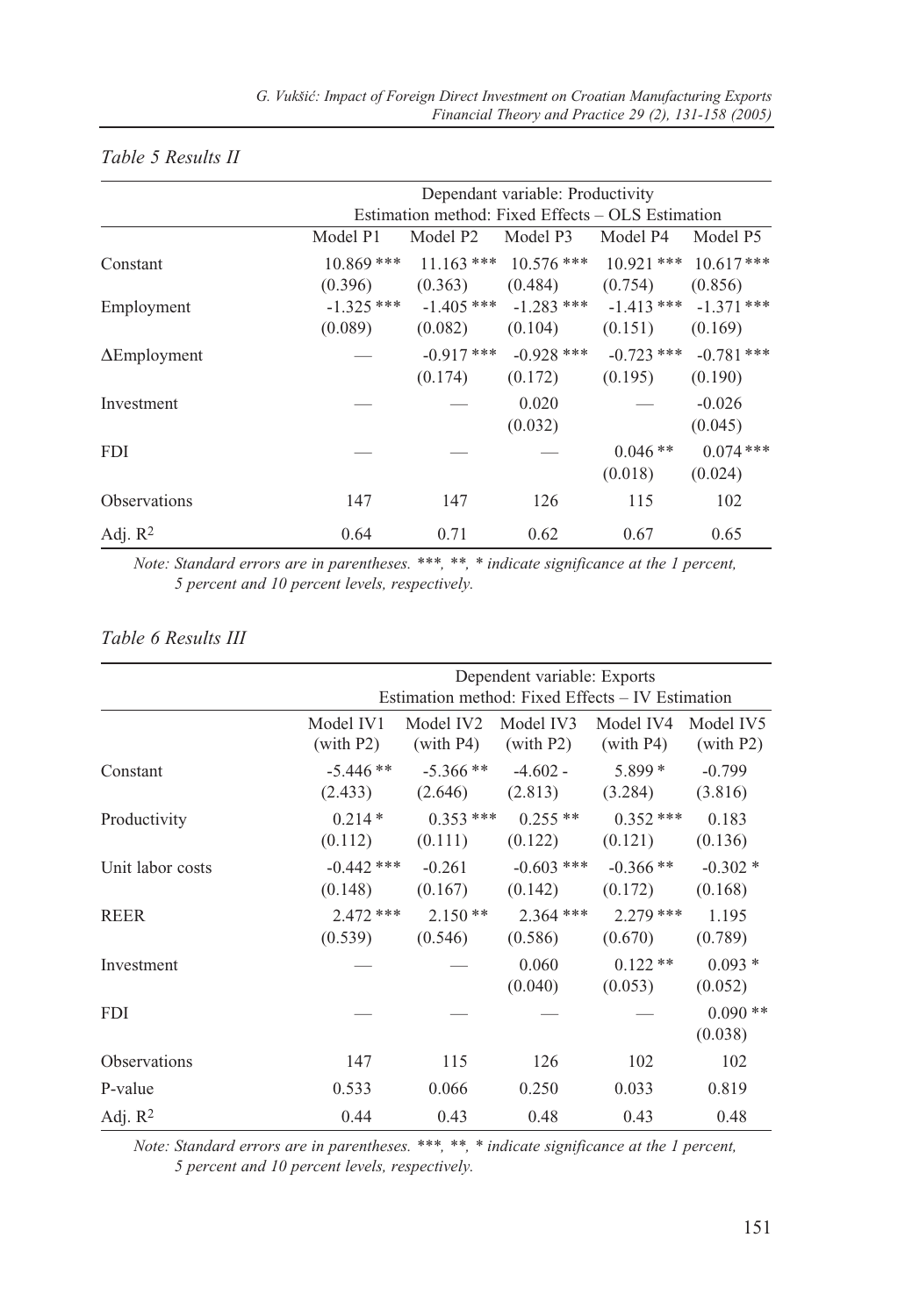## *Table 5 Results II*

|                     |              |                                                   | Dependant variable: Productivity |              |              |
|---------------------|--------------|---------------------------------------------------|----------------------------------|--------------|--------------|
|                     |              | Estimation method: Fixed Effects – OLS Estimation |                                  |              |              |
|                     | Model P1     | Model P <sub>2</sub>                              | Model P3                         | Model P4     | Model P5     |
| Constant            | $10.869$ *** |                                                   | $11.163$ *** $10.576$ ***        | $10.921$ *** | $10.617***$  |
|                     | (0.396)      | (0.363)                                           | (0.484)                          | (0.754)      | (0.856)      |
| Employment          | $-1.325$ *** | $-1.405$ ***                                      | $-1.283$ ***                     | $-1.413$ *** | $-1.371$ *** |
|                     | (0.089)      | (0.082)                                           | (0.104)                          | (0.151)      | (0.169)      |
| $\Delta$ Employment |              | $-0.917***$                                       | $-0.928$ ***                     | $-0.723$ *** | $-0.781$ *** |
|                     |              | (0.174)                                           | (0.172)                          | (0.195)      | (0.190)      |
| Investment          |              |                                                   | 0.020                            |              | $-0.026$     |
|                     |              |                                                   | (0.032)                          |              | (0.045)      |
| <b>FDI</b>          |              |                                                   |                                  | $0.046**$    | $0.074***$   |
|                     |              |                                                   |                                  | (0.018)      | (0.024)      |
| <b>Observations</b> | 147          | 147                                               | 126                              | 115          | 102          |
| Adj. $R^2$          | 0.64         | 0.71                                              | 0.62                             | 0.67         | 0.65         |

*Note: Standard errors are in parentheses. \*\*\*, \*\*, \* indicate significance at the 1 percent, 5 percent and 10 percent levels, respectively.*

|                     |              |            | Dependent variable: Exports                      |             |           |
|---------------------|--------------|------------|--------------------------------------------------|-------------|-----------|
|                     |              |            | Estimation method: Fixed Effects – IV Estimation |             |           |
|                     | Model IV1    | Model IV2  | Model IV3                                        | Model IV4   | Model IV5 |
|                     | (with P2)    | (with P4)  | (with P2)                                        | (with P4)   | (with P2) |
| Constant            | $-5.446**$   | $-5.366**$ | $-4.602 -$                                       | $5.899*$    | $-0.799$  |
|                     | (2.433)      | (2.646)    | (2.813)                                          | (3.284)     | (3.816)   |
| Productivity        | $0.214*$     | $0.353***$ | $0.255**$                                        | $0.352$ *** | 0.183     |
|                     | (0.112)      | (0.111)    | (0.122)                                          | (0.121)     | (0.136)   |
| Unit labor costs    | $-0.442$ *** | $-0.261$   | $-0.603$ ***                                     | $-0.366$ ** | $-0.302*$ |
|                     | (0.148)      | (0.167)    | (0.142)                                          | (0.172)     | (0.168)   |
| <b>REER</b>         | $2.472$ ***  | $2.150**$  | $2.364$ ***                                      | $2.279$ *** | 1.195     |
|                     | (0.539)      | (0.546)    | (0.586)                                          | (0.670)     | (0.789)   |
| Investment          |              |            | 0.060                                            | $0.122**$   | $0.093*$  |
|                     |              |            | (0.040)                                          | (0.053)     | (0.052)   |
| <b>FDI</b>          |              |            |                                                  |             | $0.090**$ |
|                     |              |            |                                                  |             | (0.038)   |
| <b>Observations</b> | 147          | 115        | 126                                              | 102         | 102       |
| P-value             | 0.533        | 0.066      | 0.250                                            | 0.033       | 0.819     |
| Adj. $R^2$          | 0.44         | 0.43       | 0.48                                             | 0.43        | 0.48      |

### *Table 6 Results III*

*Note: Standard errors are in parentheses. \*\*\*, \*\*, \* indicate significance at the 1 percent, 5 percent and 10 percent levels, respectively.*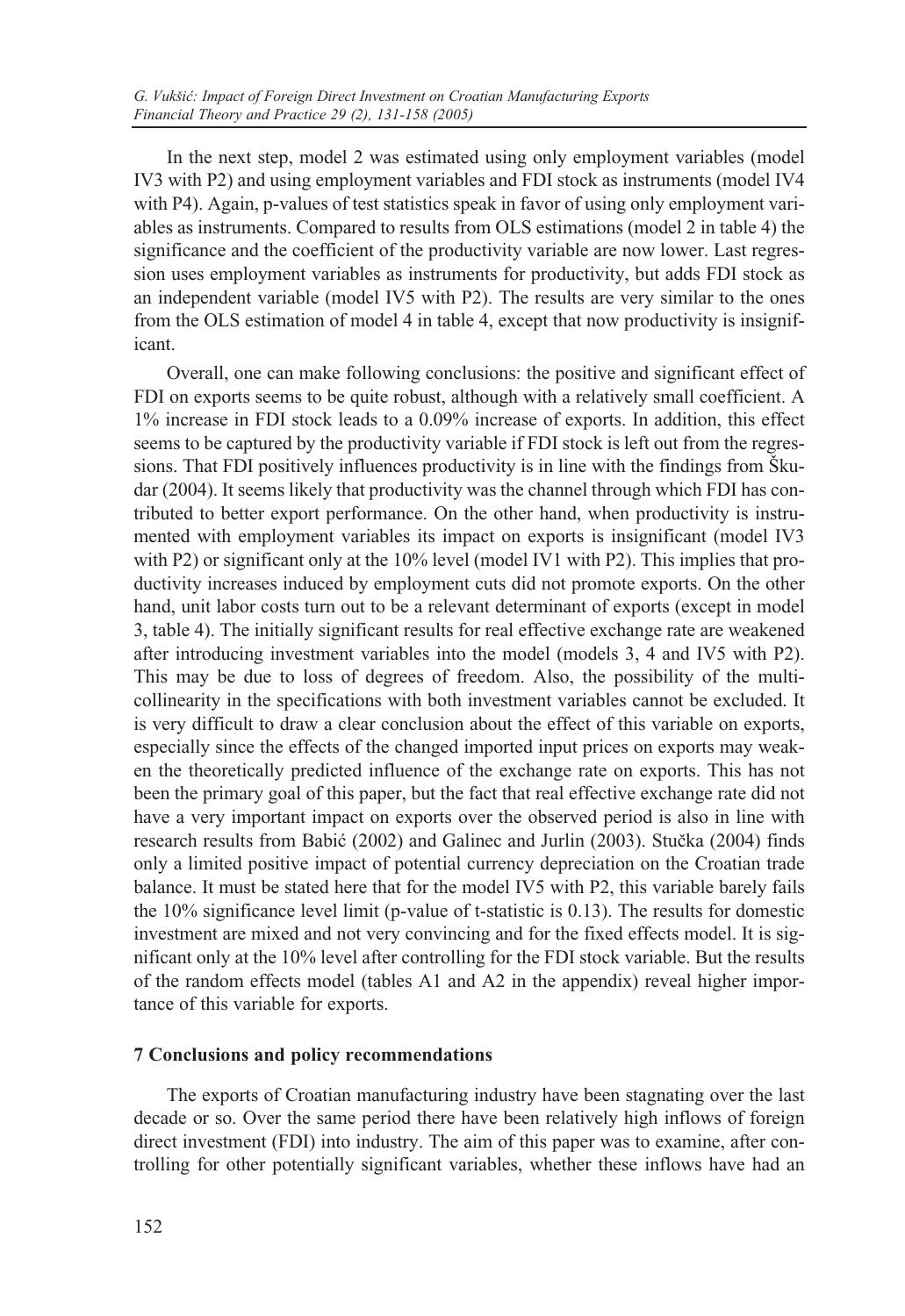In the next step, model 2 was estimated using only employment variables (model IV3 with P2) and using employment variables and FDI stock as instruments (model IV4 with P4). Again, p-values of test statistics speak in favor of using only employment variables as instruments. Compared to results from OLS estimations (model 2 in table 4) the significance and the coefficient of the productivity variable are now lower. Last regression uses employment variables as instruments for productivity, but adds FDI stock as an independent variable (model IV5 with P2). The results are very similar to the ones from the OLS estimation of model 4 in table 4, except that now productivity is insignificant.

Overall, one can make following conclusions: the positive and significant effect of FDI on exports seems to be quite robust, although with a relatively small coefficient. A 1% increase in FDI stock leads to a 0.09% increase of exports. In addition, this effect seems to be captured by the productivity variable if FDI stock is left out from the regressions. That FDI positively influences productivity is in line with the findings from Škudar (2004). It seems likely that productivity was the channel through which FDI has contributed to better export performance. On the other hand, when productivity is instrumented with employment variables its impact on exports is insignificant (model IV3 with P2) or significant only at the 10% level (model IV1 with P2). This implies that productivity increases induced by employment cuts did not promote exports. On the other hand, unit labor costs turn out to be a relevant determinant of exports (except in model 3, table 4). The initially significant results for real effective exchange rate are weakened after introducing investment variables into the model (models 3, 4 and IV5 with P2). This may be due to loss of degrees of freedom. Also, the possibility of the multicollinearity in the specifications with both investment variables cannot be excluded. It is very difficult to draw a clear conclusion about the effect of this variable on exports, especially since the effects of the changed imported input prices on exports may weaken the theoretically predicted influence of the exchange rate on exports. This has not been the primary goal of this paper, but the fact that real effective exchange rate did not have a very important impact on exports over the observed period is also in line with research results from Babić (2002) and Galinec and Jurlin (2003). Stučka (2004) finds only a limited positive impact of potential currency depreciation on the Croatian trade balance. It must be stated here that for the model IV5 with P2, this variable barely fails the 10% significance level limit (p-value of t-statistic is 0.13). The results for domestic investment are mixed and not very convincing and for the fixed effects model. It is significant only at the 10% level after controlling for the FDI stock variable. But the results of the random effects model (tables A1 and A2 in the appendix) reveal higher importance of this variable for exports.

### **7 Conclusions and policy recommendations**

The exports of Croatian manufacturing industry have been stagnating over the last decade or so. Over the same period there have been relatively high inflows of foreign direct investment (FDI) into industry. The aim of this paper was to examine, after controlling for other potentially significant variables, whether these inflows have had an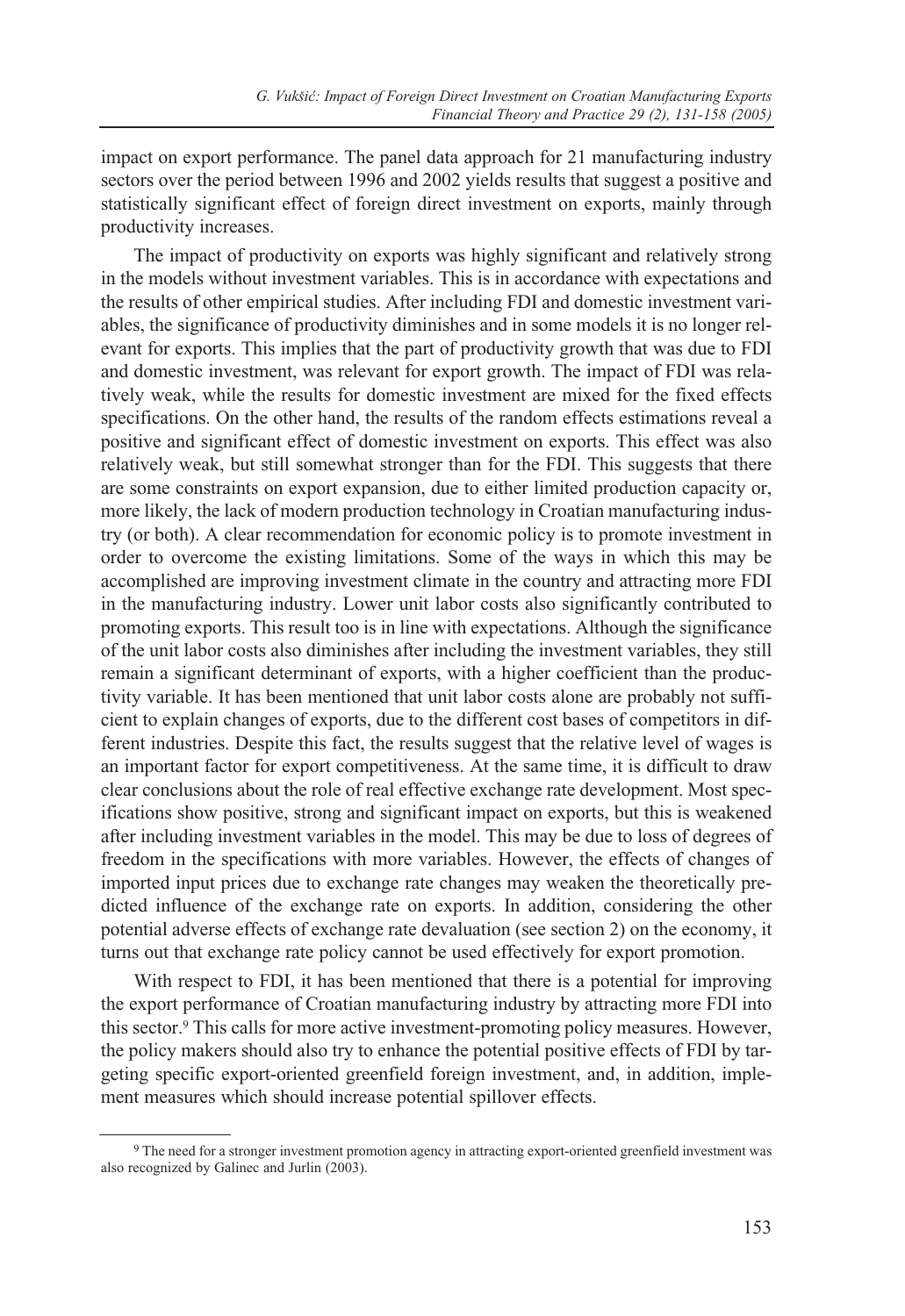impact on export performance. The panel data approach for 21 manufacturing industry sectors over the period between 1996 and 2002 yields results that suggest a positive and statistically significant effect of foreign direct investment on exports, mainly through productivity increases.

The impact of productivity on exports was highly significant and relatively strong in the models without investment variables. This is in accordance with expectations and the results of other empirical studies. After including FDI and domestic investment variables, the significance of productivity diminishes and in some models it is no longer relevant for exports. This implies that the part of productivity growth that was due to FDI and domestic investment, was relevant for export growth. The impact of FDI was relatively weak, while the results for domestic investment are mixed for the fixed effects specifications. On the other hand, the results of the random effects estimations reveal a positive and significant effect of domestic investment on exports. This effect was also relatively weak, but still somewhat stronger than for the FDI. This suggests that there are some constraints on export expansion, due to either limited production capacity or, more likely, the lack of modern production technology in Croatian manufacturing industry (or both). A clear recommendation for economic policy is to promote investment in order to overcome the existing limitations. Some of the ways in which this may be accomplished are improving investment climate in the country and attracting more FDI in the manufacturing industry. Lower unit labor costs also significantly contributed to promoting exports. This result too is in line with expectations. Although the significance of the unit labor costs also diminishes after including the investment variables, they still remain a significant determinant of exports, with a higher coefficient than the productivity variable. It has been mentioned that unit labor costs alone are probably not sufficient to explain changes of exports, due to the different cost bases of competitors in different industries. Despite this fact, the results suggest that the relative level of wages is an important factor for export competitiveness. At the same time, it is difficult to draw clear conclusions about the role of real effective exchange rate development. Most specifications show positive, strong and significant impact on exports, but this is weakened after including investment variables in the model. This may be due to loss of degrees of freedom in the specifications with more variables. However, the effects of changes of imported input prices due to exchange rate changes may weaken the theoretically predicted influence of the exchange rate on exports. In addition, considering the other potential adverse effects of exchange rate devaluation (see section 2) on the economy, it turns out that exchange rate policy cannot be used effectively for export promotion.

With respect to FDI, it has been mentioned that there is a potential for improving the export performance of Croatian manufacturing industry by attracting more FDI into this sector.9 This calls for more active investment-promoting policy measures. However, the policy makers should also try to enhance the potential positive effects of FDI by targeting specific export-oriented greenfield foreign investment, and, in addition, implement measures which should increase potential spillover effects.

<sup>9</sup> The need for a stronger investment promotion agency in attracting export-oriented greenfield investment was also recognized by Galinec and Jurlin (2003).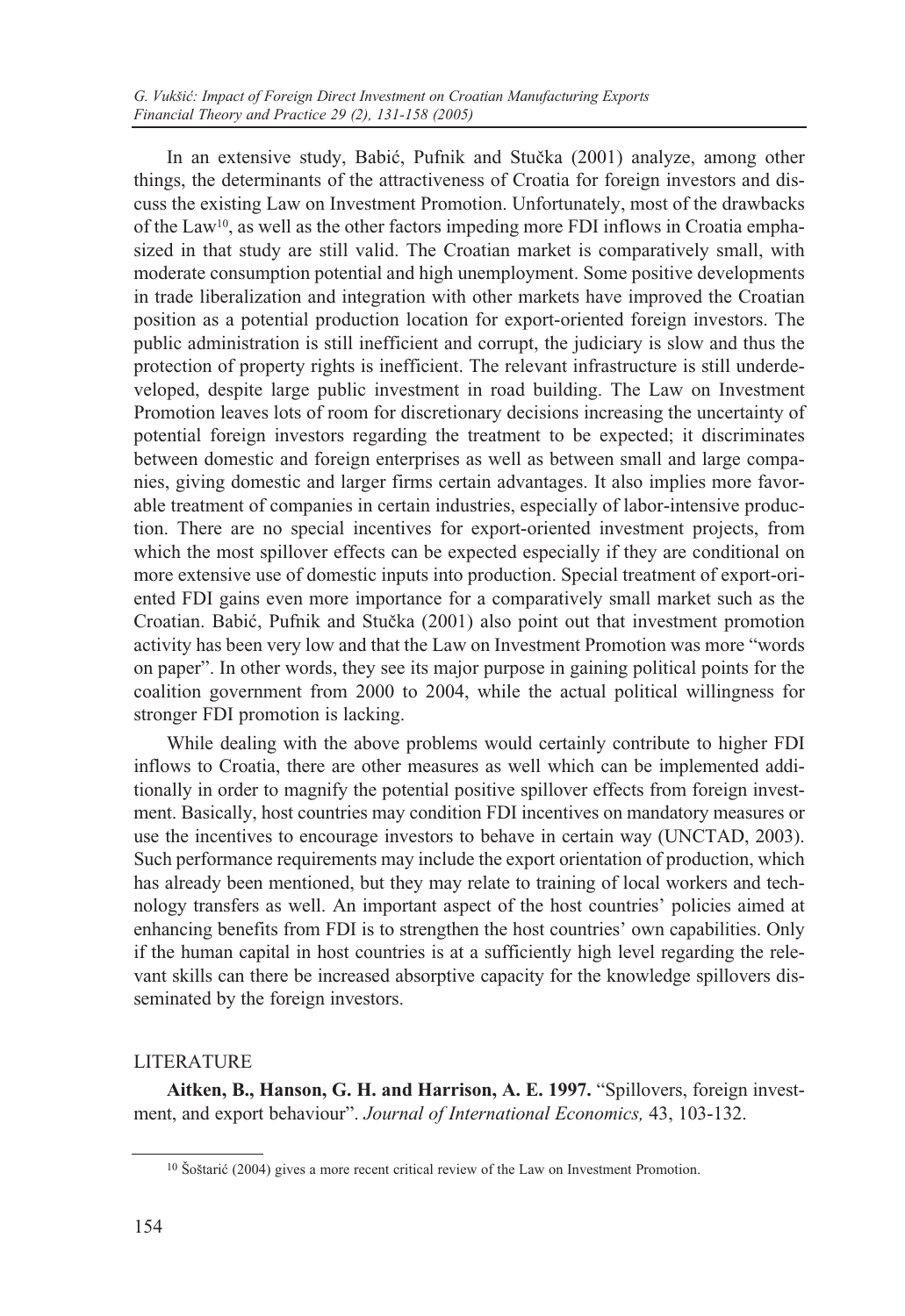In an extensive study, Babić, Pufnik and Stučka (2001) analyze, among other things, the determinants of the attractiveness of Croatia for foreign investors and discuss the existing Law on Investment Promotion. Unfortunately, most of the drawbacks of the Law10, as well as the other factors impeding more FDI inflows in Croatia emphasized in that study are still valid. The Croatian market is comparatively small, with moderate consumption potential and high unemployment. Some positive developments in trade liberalization and integration with other markets have improved the Croatian position as a potential production location for export-oriented foreign investors. The public administration is still inefficient and corrupt, the judiciary is slow and thus the protection of property rights is inefficient. The relevant infrastructure is still underdeveloped, despite large public investment in road building. The Law on Investment Promotion leaves lots of room for discretionary decisions increasing the uncertainty of potential foreign investors regarding the treatment to be expected; it discriminates between domestic and foreign enterprises as well as between small and large companies, giving domestic and larger firms certain advantages. It also implies more favorable treatment of companies in certain industries, especially of labor-intensive production. There are no special incentives for export-oriented investment projects, from which the most spillover effects can be expected especially if they are conditional on more extensive use of domestic inputs into production. Special treatment of export-oriented FDI gains even more importance for a comparatively small market such as the Croatian. Babić, Pufnik and Stučka (2001) also point out that investment promotion activity has been very low and that the Law on Investment Promotion was more "words on paper". In other words, they see its major purpose in gaining political points for the coalition government from 2000 to 2004, while the actual political willingness for stronger FDI promotion is lacking.

While dealing with the above problems would certainly contribute to higher FDI inflows to Croatia, there are other measures as well which can be implemented additionally in order to magnify the potential positive spillover effects from foreign investment. Basically, host countries may condition FDI incentives on mandatory measures or use the incentives to encourage investors to behave in certain way (UNCTAD, 2003). Such performance requirements may include the export orientation of production, which has already been mentioned, but they may relate to training of local workers and technology transfers as well. An important aspect of the host countries' policies aimed at enhancing benefits from FDI is to strengthen the host countries' own capabilities. Only if the human capital in host countries is at a sufficiently high level regarding the relevant skills can there be increased absorptive capacity for the knowledge spillovers disseminated by the foreign investors.

### LITERATURE

**Aitken, B., Hanson, G. H. and Harrison, A. E. 1997.** "Spillovers, foreign investment, and export behaviour". *Journal of International Economics,* 43, 103-132.

<sup>&</sup>lt;sup>10</sup> Šoštarić (2004) gives a more recent critical review of the Law on Investment Promotion.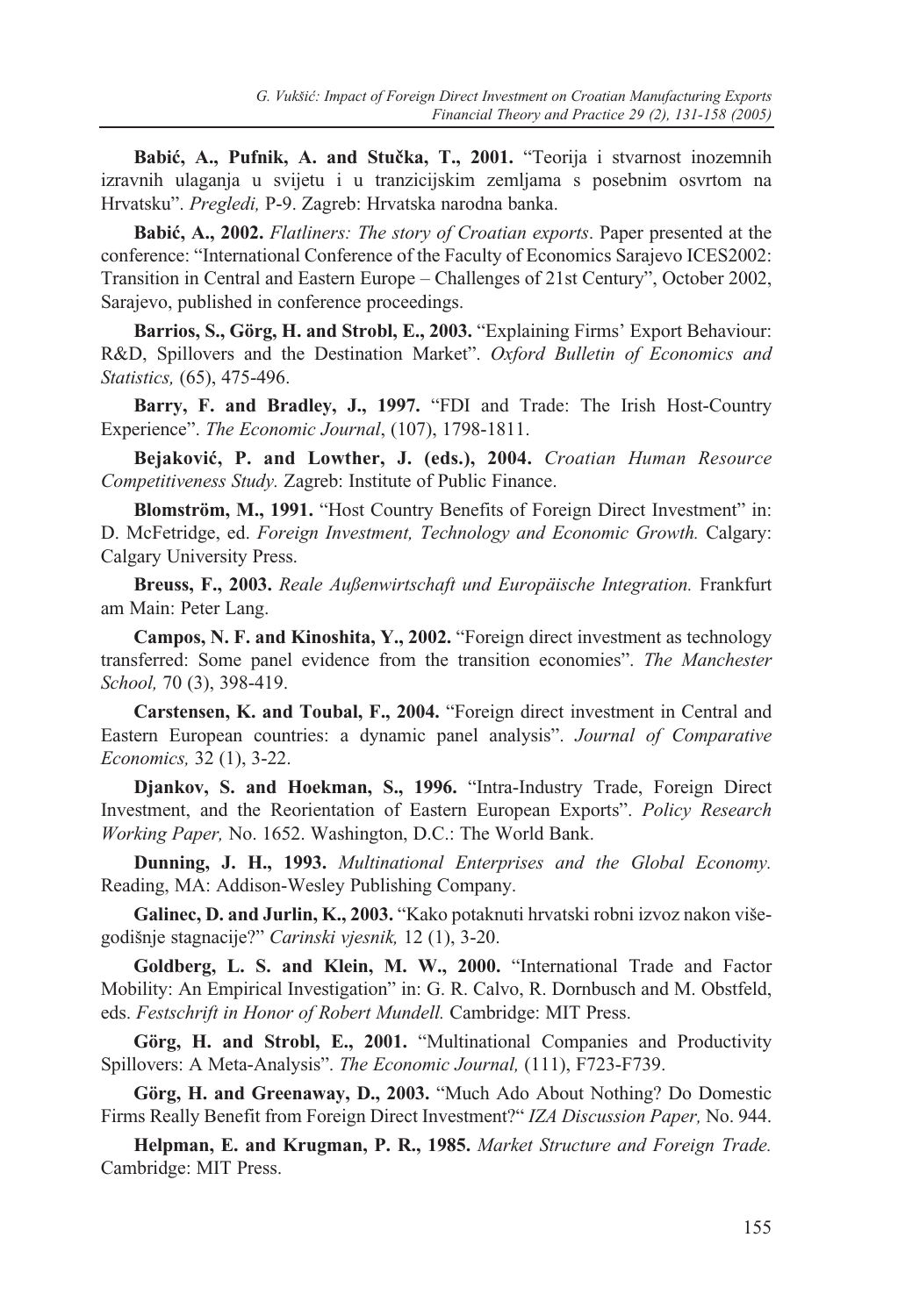Babić, A., Pufnik, A. and Stučka, T., 2001. "Teorija i stvarnost inozemnih izravnih ulaganja u svijetu i u tranzicijskim zemljama s posebnim osvrtom na Hrvatsku". *Pregledi,* P-9. Zagreb: Hrvatska narodna banka.

**Babiæ, A., 2002.** *Flatliners: The story of Croatian exports*. Paper presented at the conference: "International Conference of the Faculty of Economics Sarajevo ICES2002: Transition in Central and Eastern Europe – Challenges of 21st Century", October 2002, Sarajevo, published in conference proceedings.

**Barrios, S., Görg, H. and Strobl, E., 2003.** "Explaining Firms' Export Behaviour: R&D, Spillovers and the Destination Market". *Oxford Bulletin of Economics and Statistics,* (65), 475-496.

**Barry, F. and Bradley, J., 1997.** "FDI and Trade: The Irish Host-Country Experience". *The Economic Journal*, (107), 1798-1811.

**Bejakoviæ, P. and Lowther, J. (eds.), 2004.** *Croatian Human Resource Competitiveness Study.* Zagreb: Institute of Public Finance.

**Blomström, M., 1991.** "Host Country Benefits of Foreign Direct Investment" in: D. McFetridge, ed. *Foreign Investment, Technology and Economic Growth.* Calgary: Calgary University Press.

**Breuss, F., 2003.** *Reale Außenwirtschaft und Europäische Integration.* Frankfurt am Main: Peter Lang.

**Campos, N. F. and Kinoshita, Y., 2002.** "Foreign direct investment as technology transferred: Some panel evidence from the transition economies". *The Manchester School,* 70 (3), 398-419.

**Carstensen, K. and Toubal, F., 2004.** "Foreign direct investment in Central and Eastern European countries: a dynamic panel analysis". *Journal of Comparative Economics,* 32 (1), 3-22.

**Djankov, S. and Hoekman, S., 1996.** "Intra-Industry Trade, Foreign Direct Investment, and the Reorientation of Eastern European Exports". *Policy Research Working Paper,* No. 1652. Washington, D.C.: The World Bank.

**Dunning, J. H., 1993.** *Multinational Enterprises and the Global Economy.* Reading, MA: Addison-Wesley Publishing Company.

**Galinec, D. and Jurlin, K., 2003.** "Kako potaknuti hrvatski robni izvoz nakon višegodišnje stagnacije?" *Carinski vjesnik,* 12 (1), 3-20.

**Goldberg, L. S. and Klein, M. W., 2000.** "International Trade and Factor Mobility: An Empirical Investigation" in: G. R. Calvo, R. Dornbusch and M. Obstfeld, eds. *Festschrift in Honor of Robert Mundell.* Cambridge: MIT Press.

**Görg, H. and Strobl, E., 2001.** "Multinational Companies and Productivity Spillovers: A Meta-Analysis". *The Economic Journal,* (111), F723-F739.

**Görg, H. and Greenaway, D., 2003.** "Much Ado About Nothing? Do Domestic Firms Really Benefit from Foreign Direct Investment?" *IZA Discussion Paper,* No. 944.

**Helpman, E. and Krugman, P. R., 1985.** *Market Structure and Foreign Trade.* Cambridge: MIT Press.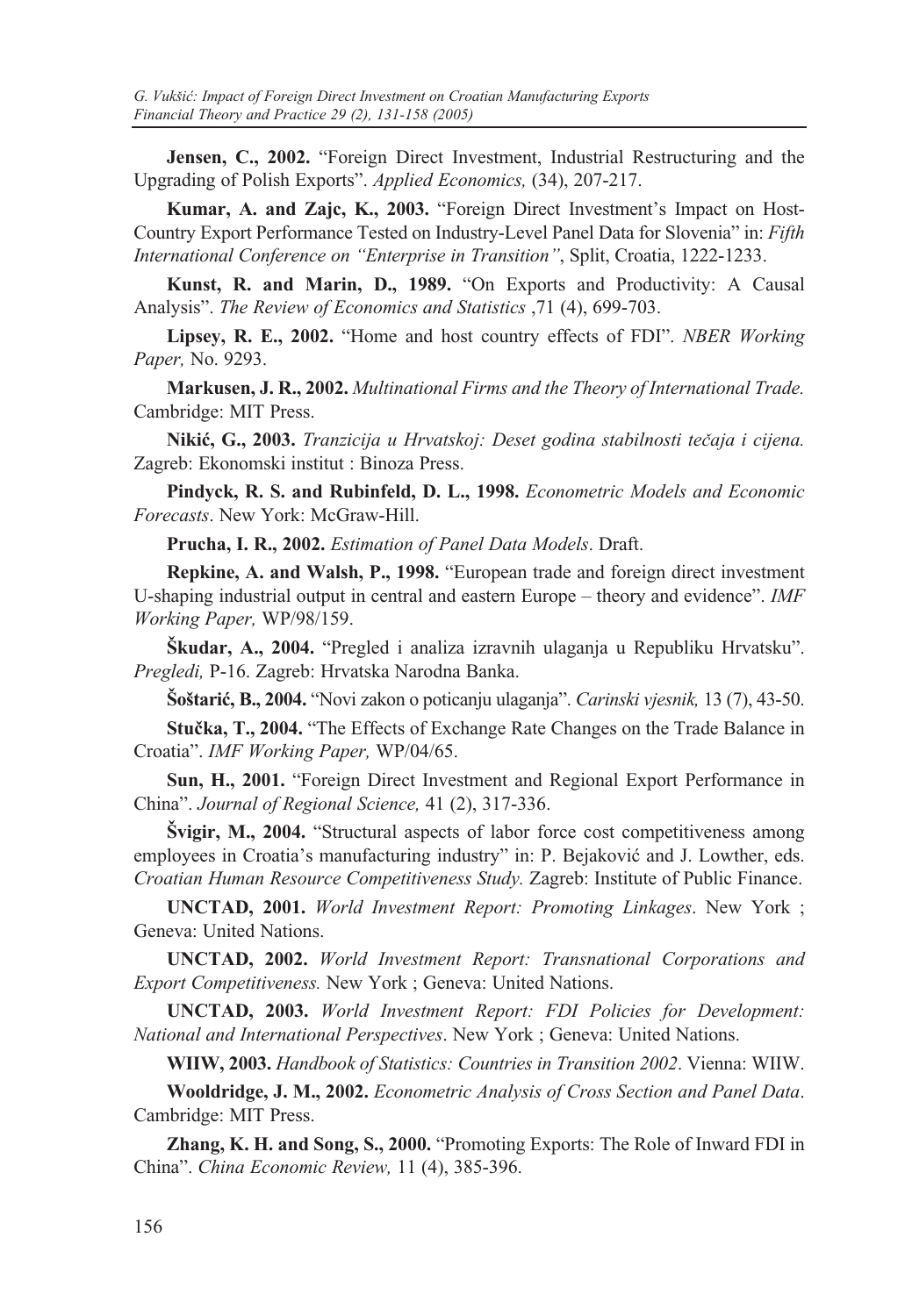**Jensen, C., 2002.** "Foreign Direct Investment, Industrial Restructuring and the Upgrading of Polish Exports". *Applied Economics,* (34), 207-217.

**Kumar, A. and Zajc, K., 2003.** "Foreign Direct Investment's Impact on Host-Country Export Performance Tested on Industry-Level Panel Data for Slovenia" in: *Fifth International Conference on "Enterprise in Transition"*, Split, Croatia, 1222-1233.

**Kunst, R. and Marin, D., 1989.** "On Exports and Productivity: A Causal Analysis". *The Review of Economics and Statistics* ,71 (4), 699-703.

**Lipsey, R. E., 2002.** "Home and host country effects of FDI". *NBER Working Paper,* No. 9293.

**Markusen, J. R., 2002.** *Multinational Firms and the Theory of International Trade.* Cambridge: MIT Press.

**Nikiæ, G., 2003.** *Tranzicija u Hrvatskoj: Deset godina stabilnosti teèaja i cijena.* Zagreb: Ekonomski institut : Binoza Press.

**Pindyck, R. S. and Rubinfeld, D. L., 1998.** *Econometric Models and Economic Forecasts*. New York: McGraw-Hill.

**Prucha, I. R., 2002.** *Estimation of Panel Data Models*. Draft.

**Repkine, A. and Walsh, P., 1998.** "European trade and foreign direct investment U-shaping industrial output in central and eastern Europe – theory and evidence". *IMF Working Paper,* WP/98/159.

**Škudar, A., 2004.** "Pregled i analiza izravnih ulaganja u Republiku Hrvatsku". *Pregledi,* P-16. Zagreb: Hrvatska Narodna Banka.

**Šoštariæ, B., 2004.** "Novi zakon o poticanju ulaganja". *Carinski vjesnik,* 13 (7), 43-50.

**Stuèka, T., 2004.** "The Effects of Exchange Rate Changes on the Trade Balance in Croatia". *IMF Working Paper,* WP/04/65.

**Sun, H., 2001.** "Foreign Direct Investment and Regional Export Performance in China". *Journal of Regional Science,* 41 (2), 317-336.

**Švigir, M., 2004.** "Structural aspects of labor force cost competitiveness among employees in Croatia's manufacturing industry" in: P. Bejaković and J. Lowther, eds. *Croatian Human Resource Competitiveness Study.* Zagreb: Institute of Public Finance.

**UNCTAD, 2001.** *World Investment Report: Promoting Linkages*. New York ; Geneva: United Nations.

**UNCTAD, 2002.** *World Investment Report: Transnational Corporations and Export Competitiveness.* New York ; Geneva: United Nations.

**UNCTAD, 2003.** *World Investment Report: FDI Policies for Development: National and International Perspectives*. New York ; Geneva: United Nations.

**WIIW, 2003.** *Handbook of Statistics: Countries in Transition 2002*. Vienna: WIIW.

**Wooldridge, J. M., 2002.** *Econometric Analysis of Cross Section and Panel Data*. Cambridge: MIT Press.

**Zhang, K. H. and Song, S., 2000.** "Promoting Exports: The Role of Inward FDI in China". *China Economic Review,* 11 (4), 385-396.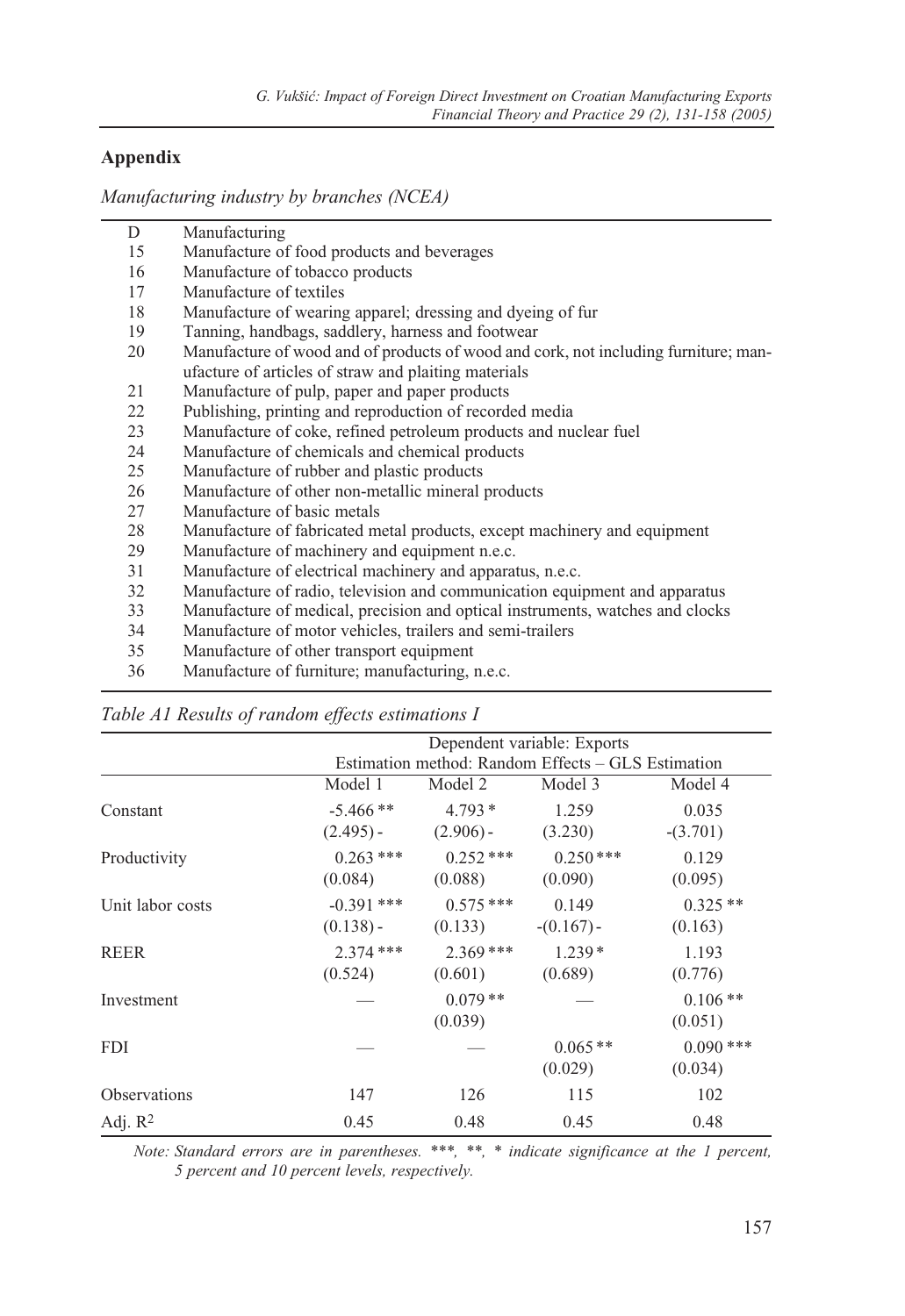## **Appendix**

*Manufacturing industry by branches (NCEA)*

| D        | Manufacturing                                                                                                                                                                                                                                                                                                                                                                                                            |
|----------|--------------------------------------------------------------------------------------------------------------------------------------------------------------------------------------------------------------------------------------------------------------------------------------------------------------------------------------------------------------------------------------------------------------------------|
| 15       | Manufacture of food products and beverages                                                                                                                                                                                                                                                                                                                                                                               |
| 16       | Manufacture of tobacco products                                                                                                                                                                                                                                                                                                                                                                                          |
| 17       | Manufacture of textiles                                                                                                                                                                                                                                                                                                                                                                                                  |
| 18       | Manufacture of wearing apparel; dressing and dyeing of fur                                                                                                                                                                                                                                                                                                                                                               |
| 19       | Tanning, handbags, saddlery, harness and footwear                                                                                                                                                                                                                                                                                                                                                                        |
| 20       | Manufacture of wood and of products of wood and cork, not including furniture; man-                                                                                                                                                                                                                                                                                                                                      |
|          | ufacture of articles of straw and plaiting materials                                                                                                                                                                                                                                                                                                                                                                     |
| 21       | Manufacture of pulp, paper and paper products                                                                                                                                                                                                                                                                                                                                                                            |
| 22       | Publishing, printing and reproduction of recorded media                                                                                                                                                                                                                                                                                                                                                                  |
| 23       | Manufacture of coke, refined petroleum products and nuclear fuel                                                                                                                                                                                                                                                                                                                                                         |
| 24       | Manufacture of chemicals and chemical products                                                                                                                                                                                                                                                                                                                                                                           |
| 25       | Manufacture of rubber and plastic products                                                                                                                                                                                                                                                                                                                                                                               |
| 26       | Manufacture of other non-metallic mineral products                                                                                                                                                                                                                                                                                                                                                                       |
| 27       | Manufacture of basic metals                                                                                                                                                                                                                                                                                                                                                                                              |
| 28       | Manufacture of fabricated metal products, except machinery and equipment                                                                                                                                                                                                                                                                                                                                                 |
| 29       | Manufacture of machinery and equipment n.e.c.                                                                                                                                                                                                                                                                                                                                                                            |
| 31       | Manufacture of electrical machinery and apparatus, n.e.c.                                                                                                                                                                                                                                                                                                                                                                |
| 32       | Manufacture of radio, television and communication equipment and apparatus                                                                                                                                                                                                                                                                                                                                               |
| 33       | Manufacture of medical, precision and optical instruments, watches and clocks                                                                                                                                                                                                                                                                                                                                            |
| 34       | Manufacture of motor vehicles, trailers and semi-trailers                                                                                                                                                                                                                                                                                                                                                                |
| 35       | Manufacture of other transport equipment                                                                                                                                                                                                                                                                                                                                                                                 |
| $\gamma$ | $M_1, \ldots, L_n, \ldots, L_n, \ldots, L_n, \ldots, L_n, \ldots, L_n, \ldots, L_n, \ldots, L_n, \ldots, L_n, \ldots, L_n, \ldots, L_n, \ldots, L_n, \ldots, L_n, \ldots, L_n, \ldots, L_n, \ldots, L_n, \ldots, L_n, \ldots, L_n, \ldots, L_n, \ldots, L_n, \ldots, L_n, \ldots, L_n, \ldots, L_n, \ldots, L_n, \ldots, L_n, \ldots, L_n, \ldots, L_n, \ldots, L_n, \ldots, L_n, \ldots, L_n, \ldots, L_n, \ldots, L_n$ |

36 Manufacture of furniture; manufacturing, n.e.c.

|                     |                             |                         | Dependent variable: Exports                        |                        |
|---------------------|-----------------------------|-------------------------|----------------------------------------------------|------------------------|
|                     |                             |                         | Estimation method: Random Effects – GLS Estimation |                        |
|                     | Model 1                     | Model 2                 | Model 3                                            | Model 4                |
| Constant            | $-5.466**$<br>$(2.495) -$   | $4.793*$<br>$(2.906) -$ | 1.259<br>(3.230)                                   | 0.035<br>$-(3.701)$    |
| Productivity        | $0.263$ ***<br>(0.084)      | $0.252***$<br>(0.088)   | $0.250***$<br>(0.090)                              | 0.129<br>(0.095)       |
| Unit labor costs    | $-0.391$ ***<br>$(0.138) -$ | $0.575***$<br>(0.133)   | 0.149<br>$-(0.167)$                                | $0.325**$<br>(0.163)   |
| <b>REER</b>         | $2.374$ ***<br>(0.524)      | $2.369***$<br>(0.601)   | $1.239*$<br>(0.689)                                | 1.193<br>(0.776)       |
| Investment          |                             | $0.079**$<br>(0.039)    |                                                    | $0.106**$<br>(0.051)   |
| <b>FDI</b>          |                             |                         | $0.065**$<br>(0.029)                               | $0.090$ ***<br>(0.034) |
| <b>Observations</b> | 147                         | 126                     | 115                                                | 102                    |
| Adj. $R^2$          | 0.45                        | 0.48                    | 0.45                                               | 0.48                   |

## *Table A1 Results of random effects estimations I*

*Note: Standard errors are in parentheses. \*\*\*, \*\*, \* indicate significance at the 1 percent, 5 percent and 10 percent levels, respectively.*